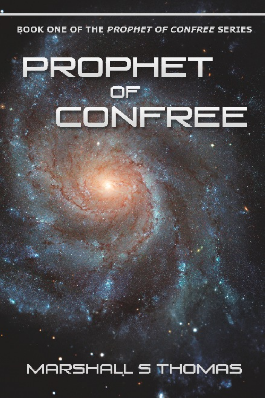BOOK ONE OF THE PROPHET OF CONFREE SERIES

# **PROPHET** CONFREE

MARSHALL S THOMAS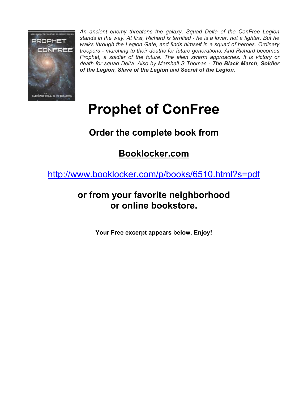

*An ancient enemy threatens the galaxy. Squad Delta of the ConFree Legion stands in the way. At first, Richard is terrified - he is a lover, not a fighter. But he walks through the Legion Gate, and finds himself in a squad of heroes. Ordinary troopers - marching to their deaths for future generations. And Richard becomes Prophet, a soldier of the future. The alien swarm approaches. It is victory or death for squad Delta. Also by Marshall S Thomas - The Black March, Soldier of the Legion, Slave of the Legion and Secret of the Legion.*

# **Prophet of ConFree**

# **Order the complete book from**

## **Booklocker.com**

http://www.booklocker.com/p/books/6510.html?s=pdf

## **or from your favorite neighborhood or online bookstore.**

**Your Free excerpt appears below. Enjoy!**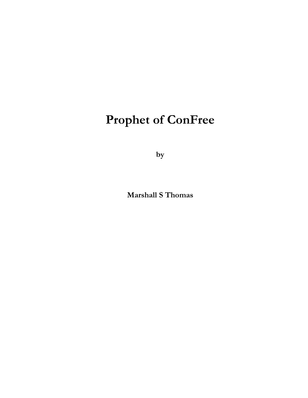**by** 

**Marshall S Thomas**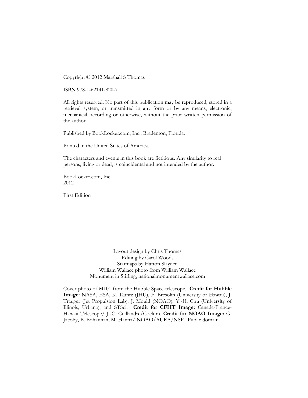Copyright © 2012 Marshall S Thomas

ISBN 978-1-62141-820-7

All rights reserved. No part of this publication may be reproduced, stored in a retrieval system, or transmitted in any form or by any means, electronic, mechanical, recording or otherwise, without the prior written permission of the author.

Published by BookLocker.com, Inc., Bradenton, Florida.

Printed in the United States of America.

The characters and events in this book are fictitious. Any similarity to real persons, living or dead, is coincidental and not intended by the author.

BookLocker.com, Inc. 2012

First Edition

Layout design by Chris Thomas Editing by Carol Woods Starmaps by Hatton Slayden William Wallace photo from William Wallace Monument in Stirling, nationalmonumentwallace.com

Cover photo of M101 from the Hubble Space telescope. **Credit for Hubble Image:** NASA, ESA, K. Kuntz (JHU), F. Bresolin (University of Hawaii), J. Trauger (Jet Propulsion Lab), J. Mould (NOAO), Y.-H. Chu (University of Illinois, Urbana), and STSci. **Credit for CFHT Image:** Canada-France-Hawaii Telescope/ J.-C. Cuillandre/Coelum. **Credit for NOAO Image:** G. Jacoby, B. Bohannan, M. Hanna/ NOAO/AURA/NSF. Public domain.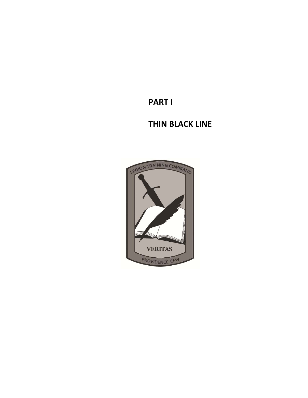**PART I** 

### **THIN BLACK LINE**

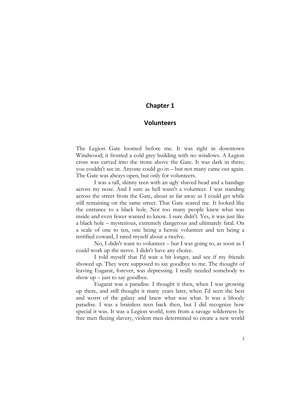#### **Chapter 1**

#### **Volunteers**

The Legion Gate loomed before me. It was right in downtown Windwood; it fronted a cold grey building with no windows. A Legion cross was carved into the stone above the Gate. It was dark in there; you couldn't see in. Anyone could go in – but not many came out again. The Gate was always open, but only for volunteers.

I was a tall, skinny teen with an ugly shaved head and a bandage across my nose. And I sure as hell wasn't a volunteer. I was standing across the street from the Gate, about as far away as I could get while still remaining on the same street. That Gate scared me. It looked like the entrance to a black hole. Not too many people knew what was inside and even fewer wanted to know. I sure didn't. Yes, it was just like a black hole – mysterious, extremely dangerous and ultimately fatal. On a scale of one to ten, one being a heroic volunteer and ten being a terrified coward, I rated myself about a twelve.

No, I didn't want to volunteer – but I was going to, as soon as I could work up the nerve. I didn't have any choice.

I told myself that I'd wait a bit longer, and see if my friends showed up. They were supposed to say goodbye to me. The thought of leaving Eugarat, forever, was depressing. I really needed somebody to show  $up - just to say goodbye.$ 

Eugarat was a paradise. I thought it then, when I was growing up there, and still thought it many years later, when I'd seen the best and worst of the galaxy and knew what was what. It was a bloody paradise. I was a brainless teen back then, but I did recognize how special it was. It was a Legion world, torn from a savage wilderness by free men fleeing slavery, violent men determined to create a new world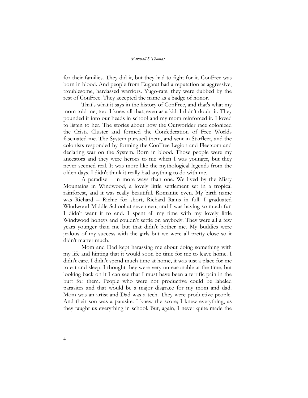for their families. They did it, but they had to fight for it. ConFree was born in blood. And people from Eugarat had a reputation as aggressive, troublesome, hardassed warriors. Yugo-rats, they were dubbed by the rest of ConFree. They accepted the name as a badge of honor.

That's what it says in the history of ConFree, and that's what my mom told me, too. I knew all that, even as a kid. I didn't doubt it. They pounded it into our heads in school and my mom reinforced it. I loved to listen to her. The stories about how the Outworlder race colonized the Crista Cluster and formed the Confederation of Free Worlds fascinated me. The System pursued them, and sent in Starfleet, and the colonists responded by forming the ConFree Legion and Fleetcom and declaring war on the System. Born in blood. Those people were my ancestors and they were heroes to me when I was younger, but they never seemed real. It was more like the mythological legends from the olden days. I didn't think it really had anything to do with me.

A paradise – in more ways than one. We lived by the Misty Mountains in Windwood, a lovely little settlement set in a tropical rainforest, and it was really beautiful. Romantic even. My birth name was Richard – Richie for short, Richard Rains in full. I graduated Windwood Middle School at seventeen, and I was having so much fun I didn't want it to end. I spent all my time with my lovely little Windwood honeys and couldn't settle on anybody. They were all a few years younger than me but that didn't bother me. My buddies were jealous of my success with the girls but we were all pretty close so it didn't matter much.

Mom and Dad kept harassing me about doing something with my life and hinting that it would soon be time for me to leave home. I didn't care. I didn't spend much time at home, it was just a place for me to eat and sleep. I thought they were very unreasonable at the time, but looking back on it I can see that I must have been a terrific pain in the butt for them. People who were not productive could be labeled parasites and that would be a major disgrace for my mom and dad. Mom was an artist and Dad was a tech. They were productive people. And their son was a parasite. I knew the score; I knew everything, as they taught us everything in school. But, again, I never quite made the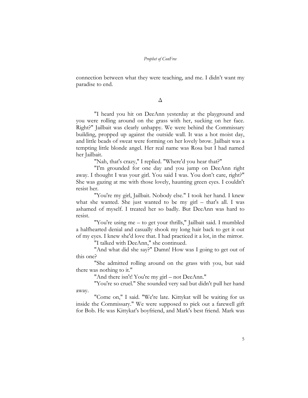connection between what they were teaching, and me. I didn't want my paradise to end.

Δ

"I heard you hit on DeeAnn yesterday at the playground and you were rolling around on the grass with her, sucking on her face. Right?" Jailbait was clearly unhappy. We were behind the Commissary building, propped up against the outside wall. It was a hot moist day, and little beads of sweat were forming on her lovely brow. Jailbait was a tempting little blonde angel. Her real name was Rosa but I had named her Jailbait.

"Nah, that's crazy," I replied. "Where'd you hear that?"

"I'm grounded for one day and you jump on DeeAnn right away. I thought I was your girl. You said I was. You don't care, right?" She was gazing at me with those lovely, haunting green eyes. I couldn't resist her.

"You're my girl, Jailbait. Nobody else." I took her hand. I knew what she wanted. She just wanted to be my girl – that's all. I was ashamed of myself. I treated her so badly. But DeeAnn was hard to resist.

"You're using me – to get your thrills," Jailbait said. I mumbled a halfhearted denial and casually shook my long hair back to get it out of my eyes. I knew she'd love that. I had practiced it a lot, in the mirror.

"I talked with DeeAnn," she continued.

"And what did she say?" Damn! How was I going to get out of this one?

"She admitted rolling around on the grass with you, but said there was nothing to it."

"And there isn't! You're my girl – not DeeAnn."

"You're so cruel." She sounded very sad but didn't pull her hand away.

"Come on," I said. "We're late. Kittykat will be waiting for us inside the Commissary." We were supposed to pick out a farewell gift for Bob. He was Kittykat's boyfriend, and Mark's best friend. Mark was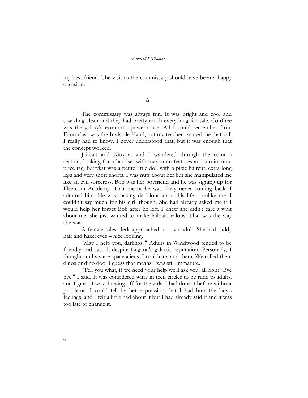my best friend. The visit to the commissary should have been a happy occasion.

#### Δ

The commissary was always fun. It was bright and cool and sparkling clean and they had pretty much everything for sale. ConFree was the galaxy's economic powerhouse. All I could remember from Econ class was the Invisible Hand, but my teacher assured me that's all I really had to know. I never understood that, but it was enough that the concept worked.

Jailbait and Kittykat and I wandered through the commo section, looking for a handset with maximum features and a minimum price tag. Kittykat was a petite little doll with a pixie haircut, extra long legs and very short shorts. I was nuts about her but she manipulated me like an evil sorceress. Bob was her boyfriend and he was signing up for Fleetcom Academy. That meant he was likely never coming back. I admired him. He was making decisions about his life – unlike me. I couldn't say much for his girl, though. She had already asked me if I would help her forget Bob after he left. I knew she didn't care a whit about me; she just wanted to make Jailbait jealous. That was the way she was.

A female sales clerk approached us – an adult. She had ruddy hair and hazel eyes – nice looking.

"May I help you, darlings?" Adults in Windwood tended to be friendly and casual, despite Eugarat's galactic reputation. Personally, I thought adults were space aliens. I couldn't stand them. We called them dinos or dino doo. I guess that means I was still immature.

"Tell you what, if we need your help we'll ask you, all right? Bye bye," I said. It was considered witty in teen circles to be rude to adults, and I guess I was showing off for the girls. I had done it before without problems. I could tell by her expression that I had hurt the lady's feelings, and I felt a little bad about it but I had already said it and it was too late to change it.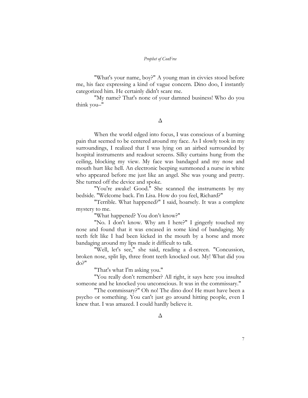"What's your name, boy?" A young man in civvies stood before me, his face expressing a kind of vague concern. Dino doo, I instantly categorized him. He certainly didn't scare me.

"My name? That's none of your damned business! Who do you think you–"

Δ

When the world edged into focus, I was conscious of a burning pain that seemed to be centered around my face. As I slowly took in my surroundings, I realized that I was lying on an airbed surrounded by hospital instruments and readout screens. Silky curtains hung from the ceiling, blocking my view. My face was bandaged and my nose and mouth hurt like hell. An electronic beeping summoned a nurse in white who appeared before me just like an angel. She was young and pretty. She turned off the device and spoke.

"You're awake! Good." She scanned the instruments by my bedside. "Welcome back. I'm Lisa. How do you feel, Richard?"

"Terrible. What happened?" I said, hoarsely. It was a complete mystery to me.

"What happened? You don't know?"

"No. I don't know. Why am I here?" I gingerly touched my nose and found that it was encased in some kind of bandaging. My teeth felt like I had been kicked in the mouth by a horse and more bandaging around my lips made it difficult to talk.

"Well, let's see," she said, reading a d-screen. "Concussion, broken nose, split lip, three front teeth knocked out. My! What did you do?"

"That's what I'm asking you."

"You really don't remember? All right, it says here you insulted someone and he knocked you unconscious. It was in the commissary."

"The commissary?" Oh no! The dino doo! He must have been a psycho or something. You can't just go around hitting people, even I knew that. I was amazed. I could hardly believe it.

Δ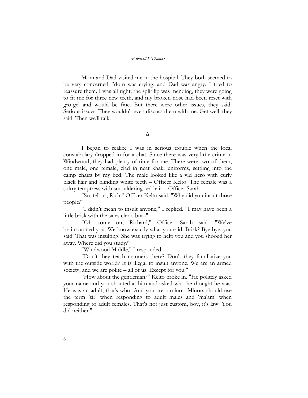Mom and Dad visited me in the hospital. They both seemed to be very concerned. Mom was crying, and Dad was angry. I tried to reassure them. I was all right; the split lip was mending, they were going to fit me for three new teeth, and my broken nose had been reset with gro-gel and would be fine. But there were other issues, they said. Serious issues. They wouldn't even discuss them with me. Get well, they said. Then we'll talk.

#### Δ

I began to realize I was in serious trouble when the local constabulary dropped in for a chat. Since there was very little crime in Windwood, they had plenty of time for me. There were two of them, one male, one female, clad in neat khaki uniforms, settling into the camp chairs by my bed. The male looked like a vid hero with curly black hair and blinding white teeth – Officer Kelto. The female was a sultry temptress with smouldering red hair – Officer Sarah.

"So, tell us, Rich," Officer Kelto said. "Why did you insult those people?"

"I didn't mean to insult anyone," I replied. "I may have been a little brisk with the sales clerk, but–"

"Oh come on, Richard," Officer Sarah said. "We've brainscanned you. We know exactly what you said. Brisk? Bye bye, you said. That was insulting! She was trying to help you and you shooed her away. Where did you study?"

"Windwood Middle," I responded.

"Don't they teach manners there? Don't they familiarize you with the outside world? It is illegal to insult anyone. We are an armed society, and we are polite – all of us! Except for you."

"How about the gentleman?" Kelto broke in. "He politely asked your name and you shouted at him and asked who he thought he was. He was an adult, that's who. And you are a minor. Minors should use the term 'sir' when responding to adult males and 'ma'am' when responding to adult females. That's not just custom, boy, it's law. You did neither."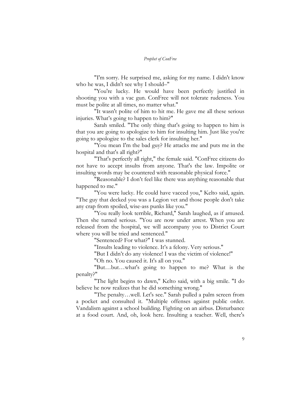"I'm sorry. He surprised me, asking for my name. I didn't know who he was, I didn't see why I should–"

"You're lucky. He would have been perfectly justified in shooting you with a vac gun. ConFree will not tolerate rudeness. You must be polite at all times, no matter what."

"It wasn't polite of him to hit me. He gave me all these serious injuries. What's going to happen to him?"

Sarah smiled. "The only thing that's going to happen to him is that you are going to apologize to him for insulting him. Just like you're going to apologize to the sales clerk for insulting her."

"You mean I'm the bad guy? He attacks me and puts me in the hospital and that's all right?"

"That's perfectly all right," the female said. "ConFree citizens do not have to accept insults from anyone. That's the law. Impolite or insulting words may be countered with reasonable physical force."

"Reasonable? I don't feel like there was anything reasonable that happened to me."

"You were lucky. He could have vacced you," Kelto said, again. "The guy that decked you was a Legion vet and those people don't take any crap from spoiled, wise-ass punks like you."

"You really look terrible, Richard," Sarah laughed, as if amused. Then she turned serious. "You are now under arrest. When you are released from the hospital, we will accompany you to District Court where you will be tried and sentenced."

"Sentenced? For what?" I was stunned.

"Insults leading to violence. It's a felony. Very serious."

"But I didn't do any violence! I was the victim of violence!"

"Oh no. You caused it. It's all on you."

"But…but…what's going to happen to me? What is the penalty?"

"The light begins to dawn," Kelto said, with a big smile. "I do believe he now realizes that he did something wrong."

"The penalty…well. Let's see." Sarah pulled a palm screen from a pocket and consulted it. "Multiple offenses against public order. Vandalism against a school building. Fighting on an airbus. Disturbance at a food court. And, oh, look here. Insulting a teacher. Well, there's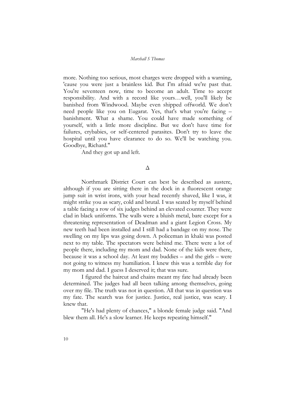more. Nothing too serious, most charges were dropped with a warning, 'cause you were just a brainless kid. But I'm afraid we're past that. You're seventeen now, time to become an adult. Time to accept responsibility. And with a record like yours…well, you'll likely be banished from Windwood. Maybe even shipped offworld. We don't need people like you on Eugarat. Yes, that's what you're facing – banishment. What a shame. You could have made something of yourself, with a little more discipline. But we don't have time for failures, crybabies, or self-centered parasites. Don't try to leave the hospital until you have clearance to do so. We'll be watching you. Goodbye, Richard."

And they got up and left.

#### Δ

Northmark District Court can best be described as austere, although if you are sitting there in the dock in a fluorescent orange jump suit in wrist irons, with your head recently shaved, like I was, it might strike you as scary, cold and brutal. I was seated by myself behind a table facing a row of six judges behind an elevated counter. They were clad in black uniforms. The walls were a bluish metal, bare except for a threatening representation of Deadman and a giant Legion Cross. My new teeth had been installed and I still had a bandage on my nose. The swelling on my lips was going down. A policeman in khaki was posted next to my table. The spectators were behind me. There were a lot of people there, including my mom and dad. None of the kids were there, because it was a school day. At least my buddies – and the girls – were not going to witness my humiliation. I knew this was a terrible day for my mom and dad. I guess I deserved it; that was sure.

I figured the haircut and chains meant my fate had already been determined. The judges had all been talking among themselves, going over my file. The truth was not in question. All that was in question was my fate. The search was for justice. Justice, real justice, was scary. I knew that.

"He's had plenty of chances," a blonde female judge said. "And blew them all. He's a slow learner. He keeps repeating himself."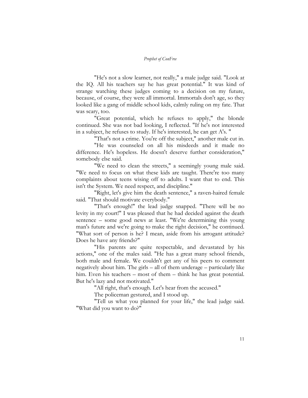"He's not a slow learner, not really," a male judge said. "Look at the IQ. All his teachers say he has great potential." It was kind of strange watching these judges coming to a decision on my future, because, of course, they were all immortal. Immortals don't age, so they looked like a gang of middle school kids, calmly ruling on my fate. That was scary, too.

"Great potential, which he refuses to apply," the blonde continued. She was not bad looking, I reflected. "If he's not interested in a subject, he refuses to study. If he's interested, he can get A's. "

"That's not a crime. You're off the subject," another male cut in. "He was counseled on all his misdeeds and it made no difference. He's hopeless. He doesn't deserve further consideration," somebody else said.

"We need to clean the streets," a seemingly young male said. "We need to focus on what these kids are taught. There're too many complaints about teens wising off to adults. I want that to end. This isn't the System. We need respect, and discipline."

"Right, let's give him the death sentence," a raven-haired female said. "That should motivate everybody."

"That's enough!" the lead judge snapped. "There will be no levity in my court!" I was pleased that he had decided against the death sentence – some good news at least. "We're determining this young man's future and we're going to make the right decision," he continued. "What sort of person is he? I mean, aside from his arrogant attitude? Does he have any friends?"

"His parents are quite respectable, and devastated by his actions," one of the males said. "He has a great many school friends, both male and female. We couldn't get any of his peers to comment negatively about him. The girls – all of them underage – particularly like him. Even his teachers – most of them – think he has great potential. But he's lazy and not motivated."

"All right, that's enough. Let's hear from the accused."

The policeman gestured, and I stood up.

"Tell us what you planned for your life," the lead judge said. "What did you want to do?"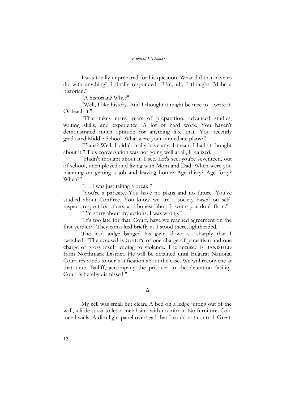I was totally unprepared for his question. What did that have to do with anything? I finally responded. "Um, uh, I thought I'd be a historian."

"A historian? Why?"

"Well, I like history. And I thought it might be nice to…write it. Or teach it."

"That takes many years of preparation, advanced studies, writing skills, and experience. A lot of hard work. You haven't demonstrated much aptitude for anything like that. You recently graduated Middle School. What were your immediate plans?"

"Plans? Well, I didn't really have any. I mean, I hadn't thought about it." This conversation was not going well at all, I realized.

"Hadn't thought about it. I see. Let's see, you're seventeen, out of school, unemployed and living with Mom and Dad. When were you planning on getting a job and leaving home? Age thirty? Age forty? When?"

"I…I was just taking a break."

"You're a parasite. You have no plans and no future. You've studied about ConFree. You know we are a society based on selfrespect, respect for others, and honest labor. It seems you don't fit in."

"I'm sorry about my actions. I was wrong."

"It's too late for that. Court, have we reached agreement on the first verdict?" They consulted briefly as I stood there, lightheaded.

The lead judge banged his gavel down so sharply that I twitched. "The accused is GUILTY of one charge of parasitism and one charge of gross insult leading to violence. The accused is BANISHED from Northmark District. He will be detained until Eugarat National Court responds to our notification about the case. We will reconvene at that time. Bailiff, accompany the prisoner to the detention facility. Court is hereby dismissed."

#### Δ

My cell was small but clean. A bed on a ledge jutting out of the wall, a little squat toilet, a metal sink with no mirror. No furniture. Cold metal walls. A dim light panel overhead that I could not control. Great.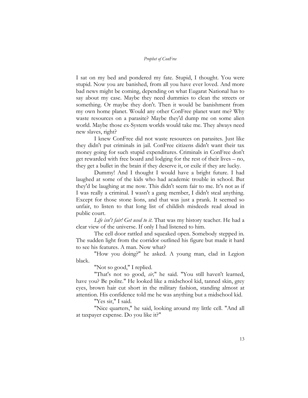I sat on my bed and pondered my fate. Stupid, I thought. You were stupid. Now you are banished, from all you have ever loved. And more bad news might be coming, depending on what Eugarat National has to say about my case. Maybe they need dummies to clean the streets or something. Or maybe they don't. Then it would be banishment from my own home planet. Would any other ConFree planet want me? Why waste resources on a parasite? Maybe they'd dump me on some alien world. Maybe those ex-System worlds would take me. They always need new slaves, right?

I knew ConFree did not waste resources on parasites. Just like they didn't put criminals in jail. ConFree citizens didn't want their tax money going for such stupid expenditures. Criminals in ConFree don't get rewarded with free board and lodging for the rest of their lives – no, they get a bullet in the brain if they deserve it, or exile if they are lucky.

Dummy! And I thought I would have a bright future. I had laughed at some of the kids who had academic trouble in school. But they'd be laughing at me now. This didn't seem fair to me. It's not as if I was really a criminal. I wasn't a gang member, I didn't steal anything. Except for those stone lions, and that was just a prank. It seemed so unfair, to listen to that long list of childish misdeeds read aloud in public court.

*Life isn't fair! Get used to it*. That was my history teacher. He had a clear view of the universe. If only I had listened to him.

The cell door rattled and squeaked open. Somebody stepped in. The sudden light from the corridor outlined his figure but made it hard to see his features. A man. Now what?

"How you doing?" he asked. A young man, clad in Legion black.

"Not so good," I replied.

"That's not so good, *sir,*" he said. "You still haven't learned, have you? Be polite." He looked like a midschool kid, tanned skin, grey eyes, brown hair cut short in the military fashion, standing almost at attention. His confidence told me he was anything but a midschool kid.

"Yes sir," I said.

"Nice quarters," he said, looking around my little cell. "And all at taxpayer expense. Do you like it?"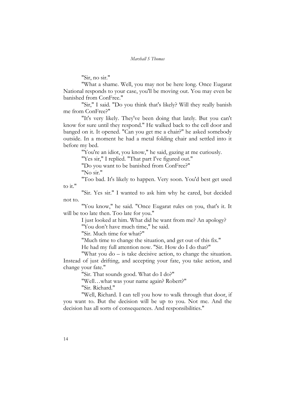"Sir, no sir."

"What a shame. Well, you may not be here long. Once Eugarat National responds to your case, you'll be moving out. You may even be banished from ConFree."

"Sir," I said. "Do you think that's likely? Will they really banish me from ConFree?"

"It's very likely. They've been doing that lately. But you can't know for sure until they respond." He walked back to the cell door and banged on it. It opened. "Can you get me a chair?" he asked somebody outside. In a moment he had a metal folding chair and settled into it before my bed.

"You're an idiot, you know," he said, gazing at me curiously.

"Yes sir," I replied. "That part I've figured out."

"Do you want to be banished from ConFree?"

"No sir."

"Too bad. It's likely to happen. Very soon. You'd best get used to it."

"Sir. Yes sir." I wanted to ask him why he cared, but decided not to.

"You know," he said. "Once Eugarat rules on you, that's it. It will be too late then. Too late for you."

> I just looked at him. What did he want from me? An apology? "You don't have much time," he said.

"Sir. Much time for what?"

"Much time to change the situation, and get out of this fix."

He had my full attention now. "Sir. How do I do that?"

"What you do – is take decisive action, to change the situation. Instead of just drifting, and accepting your fate, you take action, and change your fate."

"Sir. That sounds good. What do I do?"

"Well…what was your name again? Robert?"

"Sir. Richard."

"Well, Richard. I can tell you how to walk through that door, if you want to. But the decision will be up to you. Not me. And the decision has all sorts of consequences. And responsibilities."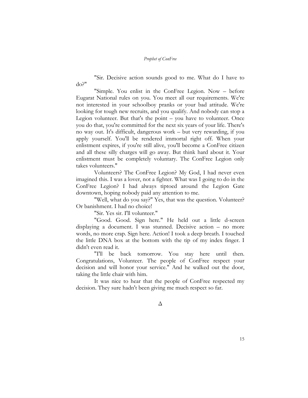"Sir. Decisive action sounds good to me. What do I have to do?"

"Simple. You enlist in the ConFree Legion. Now – before Eugarat National rules on you. You meet all our requirements. We're not interested in your schoolboy pranks or your bad attitude. We're looking for tough new recruits, and you qualify. And nobody can stop a Legion volunteer. But that's the point – you have to volunteer. Once you do that, you're committed for the next six years of your life. There's no way out. It's difficult, dangerous work – but very rewarding, if you apply yourself. You'll be rendered immortal right off. When your enlistment expires, if you're still alive, you'll become a ConFree citizen and all these silly charges will go away. But think hard about it. Your enlistment must be completely voluntary. The ConFree Legion only takes volunteers."

Volunteers? The ConFree Legion? My God, I had never even imagined this. I was a lover, not a fighter. What was I going to do in the ConFree Legion? I had always tiptoed around the Legion Gate downtown, hoping nobody paid any attention to me.

"Well, what do you say?" Yes, that was the question. Volunteer? Or banishment. I had no choice!

"Sir. Yes sir. I'll volunteer."

"Good. Good. Sign here." He held out a little d-screen displaying a document. I was stunned. Decisive action – no more words, no more crap. Sign here. Action! I took a deep breath. I touched the little DNA box at the bottom with the tip of my index finger. I didn't even read it.

"I'll be back tomorrow. You stay here until then. Congratulations, Volunteer. The people of ConFree respect your decision and will honor your service." And he walked out the door, taking the little chair with him.

It was nice to hear that the people of ConFree respected my decision. They sure hadn't been giving me much respect so far.

Δ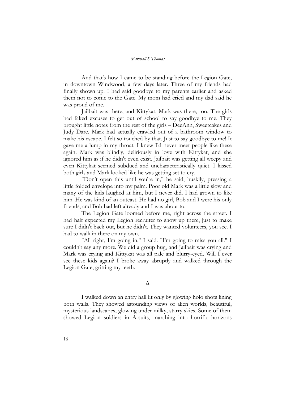And that's how I came to be standing before the Legion Gate, in downtown Windwood, a few days later. Three of my friends had finally shown up. I had said goodbye to my parents earlier and asked them not to come to the Gate. My mom had cried and my dad said he was proud of me.

Jailbait was there, and Kittykat. Mark was there, too. The girls had faked excuses to get out of school to say goodbye to me. They brought little notes from the rest of the girls – DeeAnn, Sweetcakes and Judy Dare. Mark had actually crawled out of a bathroom window to make his escape. I felt so touched by that. Just to say goodbye to me! It gave me a lump in my throat. I knew I'd never meet people like these again. Mark was blindly, deliriously in love with Kittykat, and she ignored him as if he didn't even exist. Jailbait was getting all weepy and even Kittykat seemed subdued and uncharacteristically quiet. I kissed both girls and Mark looked like he was getting set to cry.

"Don't open this until you're in," he said, huskily, pressing a little folded envelope into my palm. Poor old Mark was a little slow and many of the kids laughed at him, but I never did. I had grown to like him. He was kind of an outcast. He had no girl, Bob and I were his only friends, and Bob had left already and I was about to.

The Legion Gate loomed before me, right across the street. I had half expected my Legion recruiter to show up there, just to make sure I didn't back out, but he didn't. They wanted volunteers, you see. I had to walk in there on my own.

"All right, I'm going in," I said. "I'm going to miss you all." I couldn't say any more. We did a group hug, and Jailbait was crying and Mark was crying and Kittykat was all pale and blurry-eyed. Will I ever see these kids again? I broke away abruptly and walked through the Legion Gate, gritting my teeth.

#### Δ

I walked down an entry hall lit only by glowing holo shots lining both walls. They showed astounding views of alien worlds, beautiful, mysterious landscapes, glowing under milky, starry skies. Some of them showed Legion soldiers in A-suits, marching into horrific horizons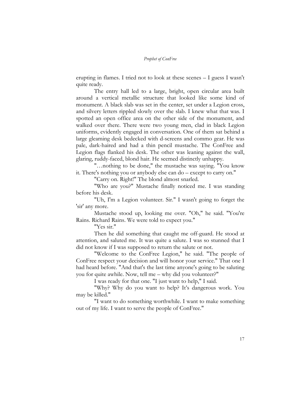erupting in flames. I tried not to look at these scenes – I guess I wasn't quite ready.

The entry hall led to a large, bright, open circular area built around a vertical metallic structure that looked like some kind of monument. A black slab was set in the center, set under a Legion cross, and silvery letters rippled slowly over the slab. I knew what that was. I spotted an open office area on the other side of the monument, and walked over there. There were two young men, clad in black Legion uniforms, evidently engaged in conversation. One of them sat behind a large gleaming desk bedecked with d-screens and commo gear. He was pale, dark-haired and had a thin pencil mustache. The ConFree and Legion flags flanked his desk. The other was leaning against the wall, glaring, ruddy-faced, blond hair. He seemed distinctly unhappy.

"…nothing to be done," the mustache was saying. "You know it. There's nothing you or anybody else can do – except to carry on."

"Carry on. Right!" The blond almost snarled.

"Who are you?" Mustache finally noticed me. I was standing before his desk.

"Uh, I'm a Legion volunteer. Sir." I wasn't going to forget the 'sir' any more.

Mustache stood up, looking me over. "Oh," he said. "You're Rains. Richard Rains. We were told to expect you."

"Yes sir."

Then he did something that caught me off-guard. He stood at attention, and saluted me. It was quite a salute. I was so stunned that I did not know if I was supposed to return the salute or not.

"Welcome to the ConFree Legion," he said. "The people of ConFree respect your decision and will honor your service." That one I had heard before. "And that's the last time anyone's going to be saluting you for quite awhile. Now, tell me – why did you volunteer?"

I was ready for that one. "I just want to help," I said.

"Why? Why do you want to help? It's dangerous work. You may be killed."

"I want to do something worthwhile. I want to make something out of my life. I want to serve the people of ConFree."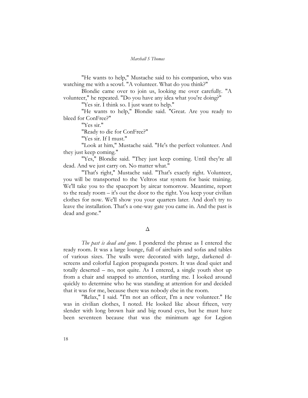"He wants to help," Mustache said to his companion, who was watching me with a scowl. "A volunteer. What do you think?"

Blondie came over to join us, looking me over carefully. "A volunteer," he repeated. "Do you have any idea what you're doing?"

"Yes sir. I think so. I just want to help."

"He wants to help," Blondie said. "Great. Are you ready to bleed for ConFree?"

"Yes sir."

"Ready to die for ConFree?"

"Yes sir. If I must."

"Look at him," Mustache said. "He's the perfect volunteer. And they just keep coming."

"Yes," Blondie said. "They just keep coming. Until they're all dead. And we just carry on. No matter what."

"That's right," Mustache said. "That's exactly right. Volunteer, you will be transported to the Veltros star system for basic training. We'll take you to the spaceport by aircar tomorrow. Meantime, report to the ready room – it's out the door to the right. You keep your civilian clothes for now. We'll show you your quarters later. And don't try to leave the installation. That's a one-way gate you came in. And the past is dead and gone."

#### Δ

*The past is dead and gone*. I pondered the phrase as I entered the ready room. It was a large lounge, full of airchairs and sofas and tables of various sizes. The walls were decorated with large, darkened dscreens and colorful Legion propaganda posters. It was dead quiet and totally deserted – no, not quite. As I entered, a single youth shot up from a chair and snapped to attention, startling me. I looked around quickly to determine who he was standing at attention for and decided that it was for me, because there was nobody else in the room.

"Relax," I said. "I'm not an officer, I'm a new volunteer." He was in civilian clothes, I noted. He looked like about fifteen, very slender with long brown hair and big round eyes, but he must have been seventeen because that was the minimum age for Legion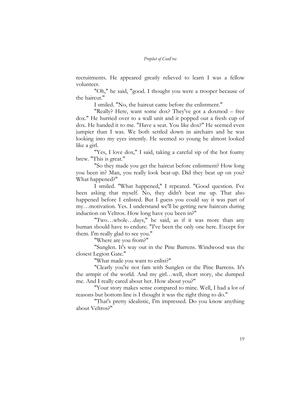recruitments. He appeared greatly relieved to learn I was a fellow volunteer.

"Oh," he said, "good. I thought you were a trooper because of the haircut."

I smiled. "No, the haircut came before the enlistment."

"Really? Here, want some dox? They've got a doxmod – free dox." He hurried over to a wall unit and it popped out a fresh cup of dox. He handed it to me. "Have a seat. You like dox?" He seemed even jumpier than I was. We both settled down in airchairs and he was looking into my eyes intently. He seemed so young he almost looked like a girl.

"Yes, I love dox," I said, taking a careful sip of the hot foamy brew. "This is great."

"So they made you get the haircut before enlistment? How long you been in? Man, you really look beat-up. Did they beat up on you? What happened?"

I smiled. "What happened," I repeated. "Good question. I've been asking that myself. No, they didn't beat me up. That also happened before I enlisted. But I guess you could say it was part of my…motivation. Yes. I understand we'll be getting new haircuts during induction on Veltros. How long have you been in?"

"Two…whole…days," he said, as if it was more than any human should have to endure. "I've been the only one here. Except for them. I'm really glad to see you."

"Where are you from?"

"Sunglen. It's way out in the Pine Barrens. Windwood was the closest Legion Gate."

"What made you want to enlist?"

"Clearly you're not fam with Sunglen or the Pine Barrens. It's the armpit of the world. And my girl…well, short story, she dumped me. And I really cared about her. How about you?"

"Your story makes sense compared to mine. Well, I had a lot of reasons but bottom line is I thought it was the right thing to do."

"That's pretty idealistic, I'm impressed. Do you know anything about Veltros?"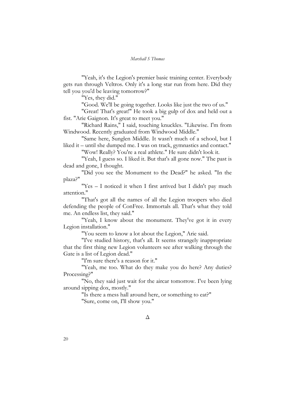"Yeah, it's the Legion's premier basic training center. Everybody gets run through Veltros. Only it's a long star run from here. Did they tell you you'd be leaving tomorrow?"

"Yes, they did."

"Good. We'll be going together. Looks like just the two of us."

"Great! That's great!" He took a big gulp of dox and held out a fist. "Arie Gaignon. It's great to meet you."

"Richard Rains," I said, touching knuckles. "Likewise. I'm from Windwood. Recently graduated from Windwood Middle."

"Same here, Sunglen Middle. It wasn't much of a school, but I liked it – until she dumped me. I was on track, gymnastics and contact."

"Wow! Really? You're a real athlete." He sure didn't look it.

"Yeah, I guess so. I liked it. But that's all gone now." The past is dead and gone, I thought.

"Did you see the Monument to the Dead?" he asked. "In the plaza?"

"Yes – I noticed it when I first arrived but I didn't pay much attention."

"That's got all the names of all the Legion troopers who died defending the people of ConFree. Immortals all. That's what they told me. An endless list, they said."

"Yeah, I know about the monument. They've got it in every Legion installation."

"You seem to know a lot about the Legion," Arie said.

"I've studied history, that's all. It seems strangely inappropriate that the first thing new Legion volunteers see after walking through the Gate is a list of Legion dead."

"I'm sure there's a reason for it."

"Yeah, me too. What do they make you do here? Any duties? Processing?"

"No, they said just wait for the aircar tomorrow. I've been lying around sipping dox, mostly."

> "Is there a mess hall around here, or something to eat?" "Sure, come on, I'll show you."

> > Δ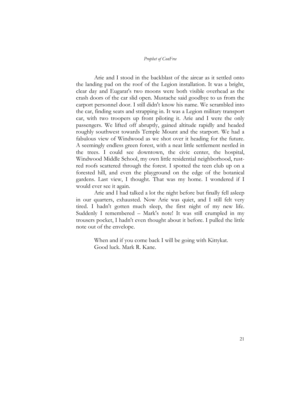Arie and I stood in the backblast of the aircar as it settled onto the landing pad on the roof of the Legion installation. It was a bright, clear day and Eugarat's two moons were both visible overhead as the crash doors of the car slid open. Mustache said goodbye to us from the carport personnel door. I still didn't know his name. We scrambled into the car, finding seats and strapping in. It was a Legion military transport car, with two troopers up front piloting it. Arie and I were the only passengers. We lifted off abruptly, gained altitude rapidly and headed roughly southwest towards Temple Mount and the starport. We had a fabulous view of Windwood as we shot over it heading for the future. A seemingly endless green forest, with a neat little settlement nestled in the trees. I could see downtown, the civic center, the hospital, Windwood Middle School, my own little residential neighborhood, rustred roofs scattered through the forest. I spotted the teen club up on a forested hill, and even the playground on the edge of the botanical gardens. Last view, I thought. That was my home. I wondered if I would ever see it again.

Arie and I had talked a lot the night before but finally fell asleep in our quarters, exhausted. Now Arie was quiet, and I still felt very tired. I hadn't gotten much sleep, the first night of my new life. Suddenly I remembered – Mark's note! It was still crumpled in my trousers pocket, I hadn't even thought about it before. I pulled the little note out of the envelope.

> When and if you come back I will be going with Kittykat. Good luck. Mark R. Kane.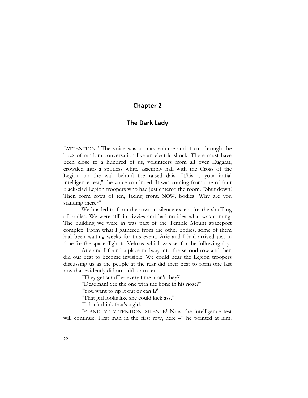#### **Chapter 2**

#### **The Dark Lady**

"ATTENTION!" The voice was at max volume and it cut through the buzz of random conversation like an electric shock. There must have been close to a hundred of us, volunteers from all over Eugarat, crowded into a spotless white assembly hall with the Cross of the Legion on the wall behind the raised dais. "This is your initial intelligence test," the voice continued. It was coming from one of four black-clad Legion troopers who had just entered the room. "Shut down! Then form rows of ten, facing front. NOW, bodies! Why are you standing there?"

We hustled to form the rows in silence except for the shuffling of bodies. We were still in civvies and had no idea what was coming. The building we were in was part of the Temple Mount spaceport complex. From what I gathered from the other bodies, some of them had been waiting weeks for this event. Arie and I had arrived just in time for the space flight to Veltros, which was set for the following day.

Arie and I found a place midway into the second row and then did our best to become invisible. We could hear the Legion troopers discussing us as the people at the rear did their best to form one last row that evidently did not add up to ten.

"They get scruffier every time, don't they?"

"Deadman! See the one with the bone in his nose?"

"You want to rip it out or can I?"

"That girl looks like she could kick ass."

"I don't think that's a girl."

"STAND AT ATTENTION! SILENCE! Now the intelligence test will continue. First man in the first row, here -" he pointed at him.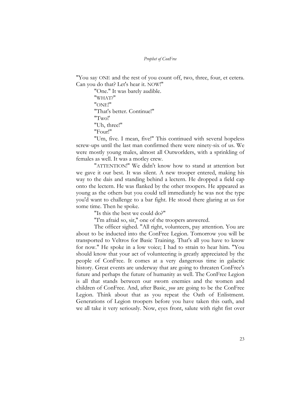"You say ONE and the rest of you count off, two, three, four, et cetera. Can you do that? Let's hear it. NOW!"

> "One." It was barely audible. "WHAT?" "ONE!" "That's better. Continue!" "Two!' "Uh, three!" "Four!"

"Um, five. I mean, five!" This continued with several hopeless screw-ups until the last man confirmed there were ninety-six of us. We were mostly young males, almost all Outworlders, with a sprinkling of females as well. It was a motley crew.

"ATTENTION!" We didn't know how to stand at attention but we gave it our best. It was silent. A new trooper entered, making his way to the dais and standing behind a lectern. He dropped a field cap onto the lectern. He was flanked by the other troopers. He appeared as young as the others but you could tell immediately he was not the type you'd want to challenge to a bar fight. He stood there glaring at us for some time. Then he spoke.

"Is this the best we could do?"

"I'm afraid so, sir," one of the troopers answered.

The officer sighed. "All right, volunteers, pay attention. You are about to be inducted into the ConFree Legion. Tomorrow you will be transported to Veltros for Basic Training. That's all you have to know for now." He spoke in a low voice; I had to strain to hear him. "You should know that your act of volunteering is greatly appreciated by the people of ConFree. It comes at a very dangerous time in galactic history. Great events are underway that are going to threaten ConFree's future and perhaps the future of humanity as well. The ConFree Legion is all that stands between our sworn enemies and the women and children of ConFree. And, after Basic, *you* are going to be the ConFree Legion. Think about that as you repeat the Oath of Enlistment. Generations of Legion troopers before you have taken this oath, and we all take it very seriously. Now, eyes front, salute with right fist over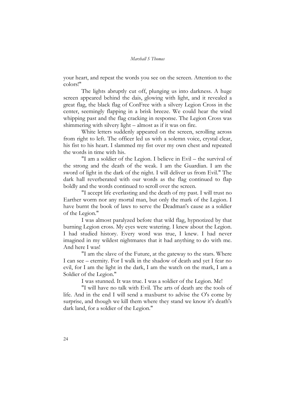your heart, and repeat the words you see on the screen. Attention to the colors!"

The lights abruptly cut off, plunging us into darkness. A huge screen appeared behind the dais, glowing with light, and it revealed a great flag, the black flag of ConFree with a silvery Legion Cross in the center, seemingly flapping in a brisk breeze. We could hear the wind whipping past and the flag cracking in response. The Legion Cross was shimmering with silvery light – almost as if it was on fire.

White letters suddenly appeared on the screen, scrolling across from right to left. The officer led us with a solemn voice, crystal clear, his fist to his heart. I slammed my fist over my own chest and repeated the words in time with his.

"I am a soldier of the Legion. I believe in Evil – the survival of the strong and the death of the weak. I am the Guardian. I am the sword of light in the dark of the night. I will deliver us from Evil." The dark hall reverberated with our words as the flag continued to flap boldly and the words continued to scroll over the screen.

"I accept life everlasting and the death of my past. I will trust no Earther worm nor any mortal man, but only the mark of the Legion. I have burnt the book of laws to serve the Deadman's cause as a soldier of the Legion."

I was almost paralyzed before that wild flag, hypnotized by that burning Legion cross. My eyes were watering. I knew about the Legion. I had studied history. Every word was true, I knew. I had never imagined in my wildest nightmares that it had anything to do with me. And here I was!

"I am the slave of the Future, at the gateway to the stars. Where I can see – eternity. For I walk in the shadow of death and yet I fear no evil, for I am the light in the dark, I am the watch on the mark, I am a Soldier of the Legion."

I was stunned. It was true. I was a soldier of the Legion. Me!

"I will have no talk with Evil. The arts of death are the tools of life. And in the end I will send a maxburst to advise the O's come by surprise, and though we kill them where they stand we know it's death's dark land, for a soldier of the Legion."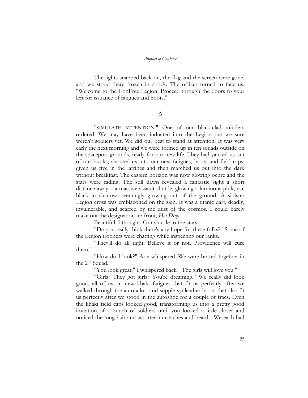The lights snapped back on, the flag and the screen were gone, and we stood there frozen in shock. The officer turned to face us. "Welcome to the ConFree Legion. Proceed through the doors to your left for issuance of fatigues and boots."

Δ

"SIMULATE ATTENTION!" One of our black-clad minders ordered. We may have been inducted into the Legion but we sure weren't soldiers yet. We did our best to stand at attention. It was very early the next morning and we were formed up in ten squads outside on the spaceport grounds, ready for our new life. They had yanked us out of our bunks, shouted us into our new fatigues, boots and field caps, given us five in the latrines and then marched us out into the dark without breakfast. The eastern horizon was now glowing ochre and the stars were fading. The still dawn revealed a fantastic sight a short distance away – a massive assault shuttle, glowing a luminous pink, vac black in shadow, seemingly growing out of the ground. A sinister Legion cross was emblazoned on the skin. It was a titanic dart, deadly, invulnerable, and scarred by the dust of the cosmos. I could barely make out the designation up front, *Hot Drop*.

Beautiful, I thought. Our shuttle to the stars.

"Do you really think there's any hope for these folks?" Some of the Legion troopers were chatting while inspecting our ranks.

"They'll do all right. Believe it or not. Providence will cure them."

"How do I look?" Arie whispered. We were braced together in the  $2^{nd}$  Squad.

"You look great," I whispered back. "The girls will love you."

"Girls? They got girls? You're dreaming." We really did look good, all of us, in new khaki fatigues that fit us perfectly after we walked through the autotailor, and supple synleather boots that also fit us perfectly after we stood in the autoshoe for a couple of fracs. Even the khaki field caps looked good, transforming us into a pretty good imitation of a bunch of soldiers until you looked a little closer and noticed the long hair and assorted mustaches and beards. We each had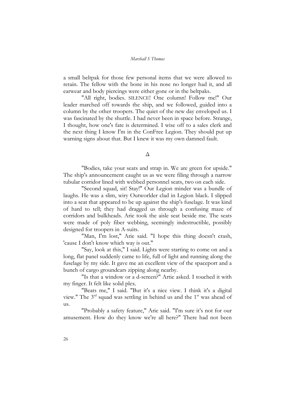a small beltpak for those few personal items that we were allowed to retain. The fellow with the bone in his nose no longer had it, and all earwear and body piercings were either gone or in the beltpaks.

"All right, bodies. SILENCE! One column! Follow me!" Our leader marched off towards the ship, and we followed, guided into a column by the other troopers. The quiet of the new day enveloped us. I was fascinated by the shuttle. I had never been in space before. Strange, I thought, how one's fate is determined. I wise off to a sales clerk and the next thing I know I'm in the ConFree Legion. They should put up warning signs about that. But I knew it was my own damned fault.

Δ

"Bodies, take your seats and strap in. We are green for upside." The ship's announcement caught us as we were filing through a narrow tubular corridor lined with webbed personnel seats, two on each side.

"Second squad, sit! Stay!" Our Legion minder was a bundle of laughs. He was a slim, wiry Outworlder clad in Legion black. I slipped into a seat that appeared to be up against the ship's fuselage. It was kind of hard to tell; they had dragged us through a confusing maze of corridors and bulkheads. Arie took the aisle seat beside me. The seats were made of poly fiber webbing, seemingly indestructible, possibly designed for troopers in A-suits.

"Man, I'm lost," Arie said. "I hope this thing doesn't crash, 'cause I don't know which way is out."

"Say, look at this," I said. Lights were starting to come on and a long, flat panel suddenly came to life, full of light and running along the fuselage by my side. It gave me an excellent view of the spaceport and a bunch of cargo groundcars zipping along nearby.

"Is that a window or a d-screen?" Artie asked. I touched it with my finger. It felt like solid plex.

"Beats me," I said. "But it's a nice view. I think it's a digital view." The  $3<sup>rd</sup>$  squad was settling in behind us and the  $1<sup>st</sup>$  was ahead of us.

"Probably a safety feature," Arie said. "I'm sure it's not for our amusement. How do they know we're all here?" There had not been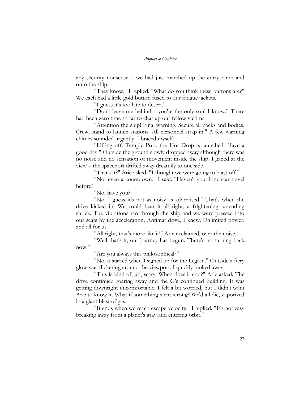any security nonsense – we had just marched up the entry ramp and onto the ship.

"They know," I replied. "What do you think these buttons are?" We each had a little gold button fused to our fatigue jackets.

"I guess it's too late to desert."

"Don't leave me behind – you're the only soul I know." There had been zero time so far to chat up our fellow victims.

"Attention the ship! Final warning. Secure all packs and bodies. Crew, stand to launch stations. All personnel strap in." A few warning chimes sounded urgently. I braced myself.

"Lifting off. Temple Port, the Hot Drop is launched. Have a good day!" Outside the ground slowly dropped away although there was no noise and no sensation of movement inside the ship. I gaped at the view – the spaceport drifted away dreamily to one side.

"That's it?" Arie asked. "I thought we were going to blast off."

"Not even a countdown," I said. "Haven't you done star travel before?"

"No, have you?"

"No. I guess it's not as noisy as advertised." That's when the drive kicked in. We could hear it all right, a frightening, unending shriek. The vibrations ran through the ship and we were pressed into our seats by the acceleration. Antimat drive, I knew. Unlimited power, and all for us.

"All right, that's more like it!" Arie exclaimed, over the noise.

"Well that's it, our journey has begun. There's no turning back now."

"Are you always this philosophical?"

"No, it started when I signed up for the Legion." Outside a fiery glow was flickering around the viewport. I quickly looked away.

"This is kind of, uh, scary. When does it end?" Arie asked. The drive continued roaring away and the G's continued building. It was getting downright uncomfortable. I felt a bit worried, but I didn't want Arie to know it. What if something went wrong? We'd all die, vaporized in a giant blast of gas.

"It ends when we reach escape velocity," I replied. "It's not easy breaking away from a planet's grav and entering orbit."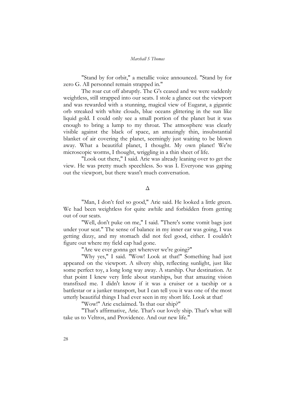"Stand by for orbit," a metallic voice announced. "Stand by for zero G. All personnel remain strapped in."

The roar cut off abruptly. The G's ceased and we were suddenly weightless, still strapped into our seats. I stole a glance out the viewport and was rewarded with a stunning, magical view of Eugarat, a gigantic orb streaked with white clouds, blue oceans glittering in the sun like liquid gold. I could only see a small portion of the planet but it was enough to bring a lump to my throat. The atmosphere was clearly visible against the black of space, an amazingly thin, insubstantial blanket of air covering the planet, seemingly just waiting to be blown away. What a beautiful planet, I thought. My own planet! We're microscopic worms, I thought, wriggling in a thin sheet of life.

"Look out there," I said. Arie was already leaning over to get the view. He was pretty much speechless. So was I. Everyone was gaping out the viewport, but there wasn't much conversation.

#### Δ

"Man, I don't feel so good," Arie said. He looked a little green. We had been weightless for quite awhile and forbidden from getting out of our seats.

"Well, don't puke on me," I said. "There's some vomit bags just under your seat." The sense of balance in my inner ear was going, I was getting dizzy, and my stomach did not feel good, either. I couldn't figure out where my field cap had gone.

"Are we ever gonna get wherever we're going?"

"Why yes," I said. "Wow! Look at that!" Something had just appeared on the viewport. A silvery ship, reflecting sunlight, just like some perfect toy, a long long way away. A starship. Our destination. At that point I knew very little about starships, but that amazing vision transfixed me. I didn't know if it was a cruiser or a tacship or a battlestar or a junker transport, but I can tell you it was one of the most utterly beautiful things I had ever seen in my short life. Look at that!

"Wow!" Arie exclaimed. 'Is that our ship?"

"That's affirmative, Arie. That's our lovely ship. That's what will take us to Veltros, and Providence. And our new life."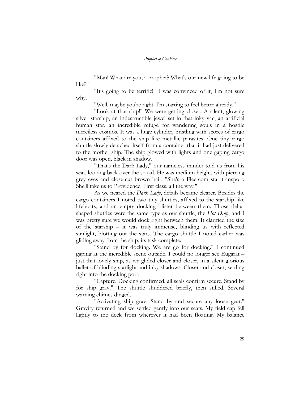"Man! What are you, a prophet? What's our new life going to be like?"

"It's going to be terrific!" I was convinced of it, I'm not sure why.

"Well, maybe you're right. I'm starting to feel better already."

"Look at that ship!" We were getting closer. A silent, glowing silver starship, an indestructible jewel set in that inky vac, an artificial human star, an incredible refuge for wandering souls in a hostile merciless cosmos. It was a huge cylinder, bristling with scores of cargo containers affixed to the ship like metallic parasites. One tiny cargo shuttle slowly detached itself from a container that it had just delivered to the mother ship. The ship glowed with lights and one gaping cargo door was open, black in shadow.

"That's the Dark Lady," our nameless minder told us from his seat, looking back over the squad. He was medium height, with piercing grey eyes and close-cut brown hair. "She's a Fleetcom star transport. She'll take us to Providence. First class, all the way."

As we neared the *Dark Lady*, details became clearer. Besides the cargo containers I noted two tiny shuttles, affixed to the starship like lifeboats, and an empty docking blister between them. Those deltashaped shuttles were the same type as our shuttle, the *Hot Drop*, and I was pretty sure we would dock right between them. It clarified the size of the starship – it was truly immense, blinding us with reflected sunlight, blotting out the stars. The cargo shuttle I noted earlier was gliding away from the ship, its task complete.

"Stand by for docking. We are go for docking." I continued gaping at the incredible scene outside. I could no longer see Eugarat – just that lovely ship, as we glided closer and closer, in a silent glorious ballet of blinding starlight and inky shadows. Closer and closer, settling right into the docking port.

"Capture. Docking confirmed, all seals confirm secure. Stand by for ship grav." The shuttle shuddered briefly, then stilled. Several warning chimes dinged.

"Activating ship grav. Stand by and secure any loose gear." Gravity returned and we settled gently into our seats. My field cap fell lightly to the deck from wherever it had been floating. My balance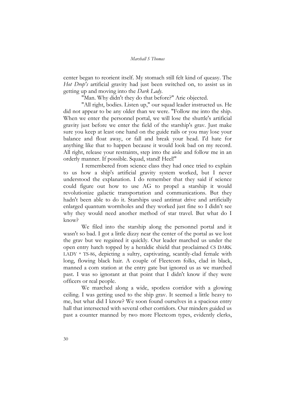center began to reorient itself. My stomach still felt kind of queasy. The *Hot Drop's* artificial gravity had just been switched on, to assist us in getting up and moving into the *Dark Lady*.

"Man. Why didn't they do that before?" Arie objected.

"All right, bodies. Listen up," our squad leader instructed us. He did not appear to be any older than we were. "Follow me into the ship. When we enter the personnel portal, we will lose the shuttle's artificial gravity just before we enter the field of the starship's grav. Just make sure you keep at least one hand on the guide rails or you may lose your balance and float away, or fall and break your head. I'd hate for anything like that to happen because it would look bad on my record. All right, release your restraints, step into the aisle and follow me in an orderly manner. If possible. Squad, stand! Heel!"

I remembered from science class they had once tried to explain to us how a ship's artificial gravity system worked, but I never understood the explanation. I do remember that they said if science could figure out how to use AG to propel a starship it would revolutionize galactic transportation and communications. But they hadn't been able to do it. Starships used antimat drive and artificially enlarged quantum wormholes and they worked just fine so I didn't see why they would need another method of star travel. But what do I know?

We filed into the starship along the personnel portal and it wasn't so bad. I got a little dizzy near the center of the portal as we lost the grav but we regained it quickly. Our leader marched us under the open entry hatch topped by a heraldic shield that proclaimed CS DARK LADY \* TS-86, depicting a sultry, captivating, scantily-clad female with long, flowing black hair. A couple of Fleetcom folks, clad in black, manned a com station at the entry gate but ignored us as we marched past. I was so ignorant at that point that I didn't know if they were officers or real people.

We marched along a wide, spotless corridor with a glowing ceiling. I was getting used to the ship grav. It seemed a little heavy to me, but what did I know? We soon found ourselves in a spacious entry hall that intersected with several other corridors. Our minders guided us past a counter manned by two more Fleetcom types, evidently clerks,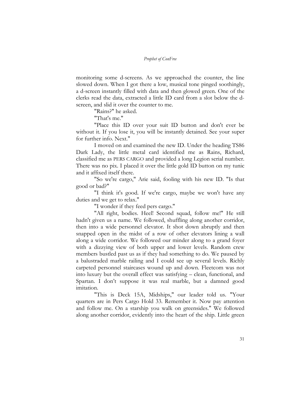monitoring some d-screens. As we approached the counter, the line slowed down. When I got there a low, musical tone pinged soothingly, a d-screen instantly filled with data and then glowed green. One of the clerks read the data, extracted a little ID card from a slot below the dscreen, and slid it over the counter to me.

"Rains?" he asked.

"That's me."

"Place this ID over your suit ID button and don't ever be without it. If you lose it, you will be instantly detained. See your super for further info. Next."

I moved on and examined the new ID. Under the heading TS86 Dark Lady, the little metal card identified me as Rains, Richard, classified me as PERS CARGO and provided a long Legion serial number. There was no pix. I placed it over the little gold ID button on my tunic and it affixed itself there.

"So we're cargo," Arie said, fooling with his new ID. "Is that good or bad?"

"I think it's good. If we're cargo, maybe we won't have any duties and we get to relax."

"I wonder if they feed pers cargo."

"All right, bodies. Heel! Second squad, follow me!" He still hadn't given us a name. We followed, shuffling along another corridor, then into a wide personnel elevator. It shot down abruptly and then snapped open in the midst of a row of other elevators lining a wall along a wide corridor. We followed our minder along to a grand foyer with a dizzying view of both upper and lower levels. Random crew members bustled past us as if they had something to do. We paused by a balustraded marble railing and I could see up several levels. Richly carpeted personnel staircases wound up and down. Fleetcom was not into luxury but the overall effect was satisfying – clean, functional, and Spartan. I don't suppose it was real marble, but a damned good imitation.

"This is Deck 15A, Midships," our leader told us. "Your quarters are in Pers Cargo Hold 33. Remember it. Now pay attention and follow me. On a starship you walk on greensides." We followed along another corridor, evidently into the heart of the ship. Little green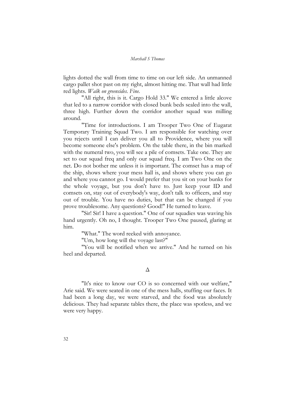lights dotted the wall from time to time on our left side. An unmanned cargo pallet shot past on my right, almost hitting me. That wall had little red lights. *Walk on greensides. Fine.*

"All right, this is it. Cargo Hold 33." We entered a little alcove that led to a narrow corridor with closed bunk beds sealed into the wall, three high. Further down the corridor another squad was milling around.

"Time for introductions. I am Trooper Two One of Eugarat Temporary Training Squad Two. I am responsible for watching over you rejects until I can deliver you all to Providence, where you will become someone else's problem. On the table there, in the bin marked with the numeral two, you will see a pile of comsets. Take one. They are set to our squad freq and only our squad freq. I am Two One on the net. Do not bother me unless it is important. The comset has a map of the ship, shows where your mess hall is, and shows where you can go and where you cannot go. I would prefer that you sit on your bunks for the whole voyage, but you don't have to. Just keep your ID and comsets on, stay out of everybody's way, don't talk to officers, and stay out of trouble. You have no duties, but that can be changed if you prove troublesome. Any questions? Good!" He turned to leave.

"Sir! Sir! I have a question." One of our squadies was waving his hand urgently. Oh no, I thought. Trooper Two One paused, glaring at him.

"What." The word reeked with annoyance.

"Um, how long will the voyage last?"

"You will be notified when we arrive." And he turned on his heel and departed.

#### Δ

"It's nice to know our CO is so concerned with our welfare," Arie said. We were seated in one of the mess halls, stuffing our faces. It had been a long day, we were starved, and the food was absolutely delicious. They had separate tables there, the place was spotless, and we were very happy.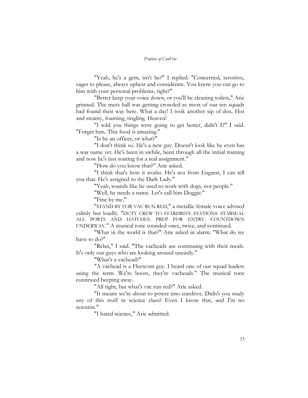"Yeah, he's a gem, isn't he?" I replied. "Concerned, sensitive, eager to please, always upbeat and considerate. You know you can go to him with your personal problems, right?"

"Better keep your voice down, or you'll be cleaning toilets," Arie grinned. The mess hall was getting crowded as most of our ten squads had found their way here. What a day! I took another sip of dox. Hot and steamy, foaming, tingling. Heaven!

"I told you things were going to get better, didn't I?" I said*.*  "Forget him. This food is amazing."

"Is he an officer, or what?"

"I don't think so. He's a new guy. Doesn't look like he even has a war name yet. He's been in awhile, been through all the initial training and now he's just waiting for a real assignment."

"How do you know that?" Arie asked.

"I think that's how it works. He's not from Eugarat, I can tell you that. He's assigned to the Dark Lady."

"Yeah, sounds like he used to work with dogs, not people."

"Well, he needs a name. Let's call him Doggie."

"Fine by me."

"STAND BY FOR VAC RUN RED," a metallic female voice advised calmly but loudly. "DUTY CREW TO STARDRIVE STATIONS. STARSEAL ALL PORTS AND HATCHES. PREP FOR ENTRY. COUNTDOWN UNDERWAY." A musical tone sounded once, twice, and continued.

"What in the world is that?" Arie asked in alarm. "What do we have to do?"

"Relax," I said. "The vacheads are continuing with their meals. It's only our guys who are looking around uneasily."

"What's a vachead?"

"A vachead is a Fleetcom guy. I heard one of our squad leaders using the term. We're boots, they're vacheads." The musical tone continued beeping away.

"All right, but what's vac run red?" Arie asked.

"It means we're about to power into stardrive. Didn't you study any of this stuff in science class? Even I know that, and I'm no scientist."

"I hated science," Arie admitted.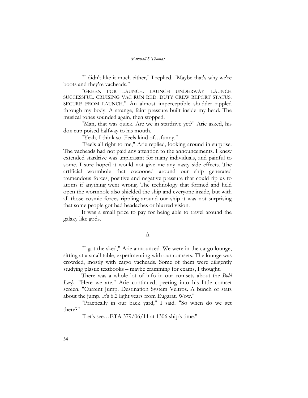"I didn't like it much either," I replied. "Maybe that's why we're boots and they're vacheads."

"GREEN FOR LAUNCH. LAUNCH UNDERWAY. LAUNCH SUCCESSFUL. CRUISING VAC RUN RED. DUTY CREW REPORT STATUS. SECURE FROM LAUNCH." An almost imperceptible shudder rippled through my body. A strange, faint pressure built inside my head. The musical tones sounded again, then stopped.

"Man, that was quick. Are we in stardrive yet?" Arie asked, his dox cup poised halfway to his mouth.

"Yeah, I think so. Feels kind of…funny."

"Feels all right to me," Arie replied, looking around in surprise. The vacheads had not paid any attention to the announcements. I knew extended stardrive was unpleasant for many individuals, and painful to some. I sure hoped it would not give me any nasty side effects. The artificial wormhole that cocooned around our ship generated tremendous forces, positive and negative pressure that could rip us to atoms if anything went wrong. The technology that formed and held open the wormhole also shielded the ship and everyone inside, but with all those cosmic forces rippling around our ship it was not surprising that some people got bad headaches or blurred vision.

It was a small price to pay for being able to travel around the galaxy like gods.

#### Δ

"I got the sked," Arie announced. We were in the cargo lounge, sitting at a small table, experimenting with our comsets. The lounge was crowded, mostly with cargo vacheads. Some of them were diligently studying plastic textbooks – maybe cramming for exams, I thought.

There was a whole lot of info in our comsets about the *Bold*  Lady. "Here we are," Arie continued, peering into his little comset screen. "Current Jump. Destination System Veltros. A bunch of stats about the jump. It's 6.2 light years from Eugarat. Wow."

"Practically in our back yard," I said. "So when do we get there?"

"Let's see…ETA 379/06/11 at 1306 ship's time."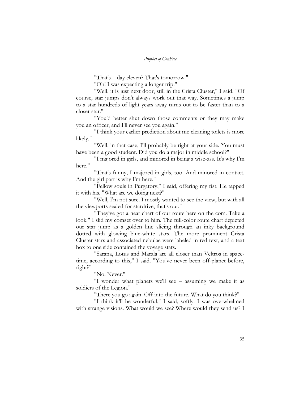"That's…day eleven? That's tomorrow."

"Oh! I was expecting a longer trip."

"Well, it is just next door, still in the Crista Cluster," I said. "Of course, star jumps don't always work out that way. Sometimes a jump to a star hundreds of light years away turns out to be faster than to a closer star."

"You'd better shut down those comments or they may make you an officer, and I'll never see you again."

"I think your earlier prediction about me cleaning toilets is more likely."

"Well, in that case, I'll probably be right at your side. You must have been a good student. Did you do a major in middle school?"

"I majored in girls, and minored in being a wise-ass. It's why I'm here."

"That's funny, I majored in girls, too. And minored in contact. And the girl part is why I'm here."

"Fellow souls in Purgatory," I said, offering my fist. He tapped it with his. "What are we doing next?"

"Well, I'm not sure. I mostly wanted to see the view, but with all the viewports sealed for stardrive, that's out."

"They've got a neat chart of our route here on the com. Take a look." I slid my comset over to him. The full-color route chart depicted our star jump as a golden line slicing through an inky background dotted with glowing blue-white stars. The more prominent Crista Cluster stars and associated nebulae were labeled in red text, and a text box to one side contained the voyage stats.

"Sarana, Lotus and Marala are all closer than Veltros in spacetime, according to this," I said. "You've never been off-planet before, right?"

"No. Never."

"I wonder what planets we'll see – assuming we make it as soldiers of the Legion."

"There you go again. Off into the future. What do you think?"

"I think it'll be wonderful," I said, softly. I was overwhelmed with strange visions. What would we see? Where would they send us? I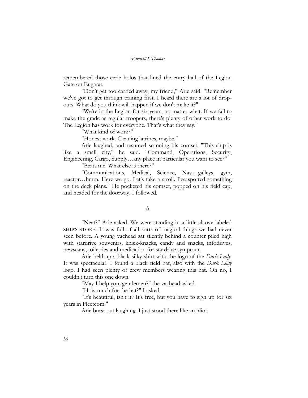remembered those eerie holos that lined the entry hall of the Legion Gate on Eugarat.

"Don't get too carried away, my friend," Arie said. "Remember we've got to get through training first. I heard there are a lot of dropouts. What do you think will happen if we don't make it?"

"We're in the Legion for six years, no matter what. If we fail to make the grade as regular troopers, there's plenty of other work to do. The Legion has work for everyone. That's what they say."

"What kind of work?"

"Honest work. Cleaning latrines, maybe."

Arie laughed, and resumed scanning his comset. "This ship is like a small city," he said. "Command, Operations, Security, Engineering, Cargo, Supply…any place in particular you want to see?"

"Beats me. What else is there?"

"Communications, Medical, Science, Nav…galleys, gym, reactor…hmm. Here we go. Let's take a stroll. I've spotted something on the deck plans." He pocketed his comset, popped on his field cap, and headed for the doorway. I followed.

#### Δ

"Neat?" Arie asked. We were standing in a little alcove labeled SHIP'S STORE. It was full of all sorts of magical things we had never seen before. A young vachead sat silently behind a counter piled high with stardrive souvenirs, knick-knacks, candy and snacks, infodrives, newscans, toiletries and medication for stardrive symptom.

Arie held up a black silky shirt with the logo of the *Dark Lady*. It was spectacular. I found a black field hat, also with the *Dark Lady* logo. I had seen plenty of crew members wearing this hat. Oh no, I couldn't turn this one down.

"May I help you, gentlemen?" the vachead asked.

"How much for the hat?" I asked.

"It's beautiful, isn't it? It's free, but you have to sign up for six years in Fleetcom."

Arie burst out laughing. I just stood there like an idiot.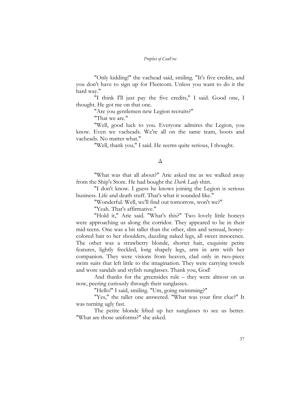"Only kidding!" the vachead said, smiling. "It's five credits, and you don't have to sign up for Fleetcom. Unless you want to do it the hard way."

"I think I'll just pay the five credits," I said. Good one, I thought. He got me on that one.

"Are you gentlemen new Legion recruits?"

"That we are."

"Well, good luck to you. Everyone admires the Legion, you know. Even we vacheads. We're all on the same team, boots and vacheads. No matter what."

"Well, thank you," I said. He seems quite serious, I thought.

#### Δ

"What was that all about?" Arie asked me as we walked away from the Ship's Store. He had bought the *Dark Lady* shirt.

"I don't know. I guess he knows joining the Legion is serious business. Life and death stuff. That's what it sounded like."

"Wonderful. Well, we'll find out tomorrow, won't we?"

"Yeah. That's affirmative."

"Hold it," Arie said. "What's this?" Two lovely little honeys were approaching us along the corridor. They appeared to be in their mid-teens. One was a bit taller than the other, slim and sensual, honeycolored hair to her shoulders, dazzling naked legs, all sweet innocence. The other was a strawberry blonde, shorter hair, exquisite petite features, lightly freckled, long shapely legs, arm in arm with her companion. They were visions from heaven, clad only in two-piece swim suits that left little to the imagination. They were carrying towels and wore sandals and stylish sunglasses. Thank you, God!

And thanks for the greensides rule – they were almost on us now, peering curiously through their sunglasses.

"Hello!" I said, smiling. "Um, going swimming?"

"Yes," the taller one answered. "What was your first clue?" It was turning ugly fast.

The petite blonde lifted up her sunglasses to see us better. "What are those uniforms?" she asked.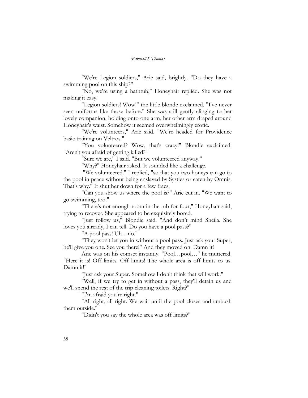"We're Legion soldiers," Arie said, brightly. "Do they have a swimming pool on this ship?"

"No, we're using a bathtub," Honeyhair replied. She was not making it easy.

"Legion soldiers! Wow!" the little blonde exclaimed. "I've never seen uniforms like those before." She was still gently clinging to her lovely companion, holding onto one arm, her other arm draped around Honeyhair's waist. Somehow it seemed overwhelmingly erotic.

"We're volunteers," Arie said. "We're headed for Providence basic training on Veltros."

"You volunteered? Wow, that's crazy!" Blondie exclaimed. "Aren't you afraid of getting killed?"

"Sure we are," I said. "But we volunteered anyway."

"Why?" Honeyhair asked. It sounded like a challenge.

 "We volunteered." I replied, "so that you two honeys can go to the pool in peace without being enslaved by Systies or eaten by Omnis. That's why." It shut her down for a few fracs.

"Can you show us where the pool is?" Arie cut in. "We want to go swimming, too."

"There's not enough room in the tub for four," Honeyhair said, trying to recover. She appeared to be exquisitely bored.

"Just follow us," Blondie said. "And don't mind Sheila. She loves you already, I can tell. Do you have a pool pass?"

"A pool pass! Uh…no."

"They won't let you in without a pool pass. Just ask your Super, he'll give you one. See you there!" And they moved on. Damn it!

Arie was on his comset instantly. "Pool…pool…" he muttered. "Here it is! Off limits. Off limits! The whole area is off limits to us. Damn it!"

"Just ask your Super. Somehow I don't think that will work."

"Well, if we try to get in without a pass, they'll detain us and we'll spend the rest of the trip cleaning toilets. Right?"

"I'm afraid you're right."

"All right, all right. We wait until the pool closes and ambush them outside."

"Didn't you say the whole area was off limits?"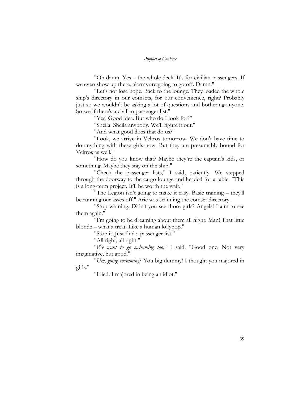"Oh damn. Yes – the whole deck! It's for civilian passengers. If we even show up there, alarms are going to go off. Damn."

"Let's not lose hope. Back to the lounge. They loaded the whole ship's directory in our comsets, for our convenience, right? Probably just so we wouldn't be asking a lot of questions and bothering anyone. So see if there's a civilian passenger list."

"Yes! Good idea. But who do I look for?"

"Sheila. Sheila anybody. We'll figure it out."

"And what good does that do us?"

"Look, we arrive in Veltros tomorrow. We don't have time to do anything with these girls now. But they are presumably bound for Veltros as well."

"How do you know that? Maybe they're the captain's kids, or something. Maybe they stay on the ship."

"Check the passenger lists," I said, patiently. We stepped through the doorway to the cargo lounge and headed for a table. "This is a long-term project. It'll be worth the wait."

"The Legion isn't going to make it easy. Basic training – they'll be running our asses off." Arie was scanning the comset directory.

"Stop whining. Didn't you see those girls? Angels! I aim to see them again."

"I'm going to be dreaming about them all night. Man! That little blonde – what a treat! Like a human lollypop."

"Stop it. Just find a passenger list."

"All right, all right."

"*We want to go swimming too*," I said. "Good one. Not very imaginative, but good."

"*Um, going swimming*? You big dummy! I thought you majored in girls."

"I lied. I majored in being an idiot."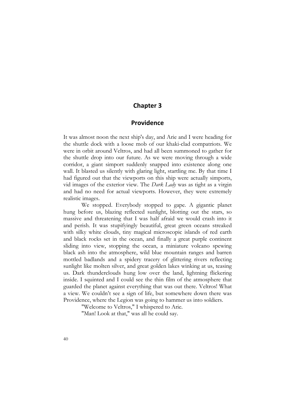#### **Chapter 3**

#### **Providence**

It was almost noon the next ship's day, and Arie and I were heading for the shuttle dock with a loose mob of our khaki-clad compatriots. We were in orbit around Veltros, and had all been summoned to gather for the shuttle drop into our future. As we were moving through a wide corridor, a giant simport suddenly snapped into existence along one wall. It blasted us silently with glaring light, startling me. By that time I had figured out that the viewports on this ship were actually simports, vid images of the exterior view. The *Dark Lady* was as tight as a virgin and had no need for actual viewports. However, they were extremely realistic images.

We stopped. Everybody stopped to gape. A gigantic planet hung before us, blazing reflected sunlight, blotting out the stars, so massive and threatening that I was half afraid we would crash into it and perish. It was stupifyingly beautiful, great green oceans streaked with silky white clouds, tiny magical microscopic islands of red earth and black rocks set in the ocean, and finally a great purple continent sliding into view, stopping the ocean, a miniature volcano spewing black ash into the atmosphere, wild blue mountain ranges and barren mottled badlands and a spidery tracery of glittering rivers reflecting sunlight like molten silver, and great golden lakes winking at us, teasing us. Dark thunderclouds hung low over the land, lightning flickering inside. I squinted and I could see the thin film of the atmosphere that guarded the planet against everything that was out there. Veltros! What a view. We couldn't see a sign of life, but somewhere down there was Providence, where the Legion was going to hammer us into soldiers.

"Welcome to Veltros," I whispered to Arie.

"Man! Look at that," was all he could say.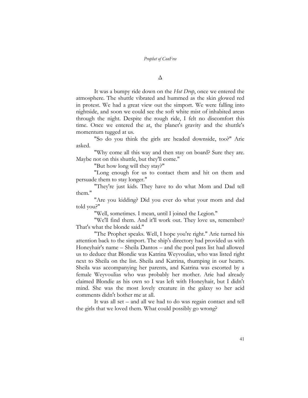Δ

It was a bumpy ride down on the *Hot Drop*, once we entered the atmosphere. The shuttle vibrated and hummed as the skin glowed red in protest. We had a great view out the simport. We were falling into nightside, and soon we could see the soft white mist of inhabited areas through the night. Despite the rough ride, I felt no discomfort this time. Once we entered the at, the planet's gravity and the shuttle's momentum tugged at us.

"So do you think the girls are headed downside, too?" Arie asked.

"Why come all this way and then stay on board? Sure they are. Maybe not on this shuttle, but they'll come."

"But how long will they stay?"

"Long enough for us to contact them and hit on them and persuade them to stay longer."

"They're just kids. They have to do what Mom and Dad tell them."

"Are you kidding? Did you ever do what your mom and dad told you?"

"Well, sometimes. I mean, until I joined the Legion."

"We'll find them. And it'll work out. They love us, remember? That's what the blonde said."

"The Prophet speaks. Well, I hope you're right." Arie turned his attention back to the simport. The ship's directory had provided us with Honeyhair's name – Sheila Dantos – and the pool pass list had allowed us to deduce that Blondie was Katrina Weyvoulias, who was listed right next to Sheila on the list. Sheila and Katrina, thumping in our hearts. Sheila was accompanying her parents, and Katrina was escorted by a female Weyvoulias who was probably her mother. Arie had already claimed Blondie as his own so I was left with Honeyhair, but I didn't mind. She was the most lovely creature in the galaxy so her acid comments didn't bother me at all.

It was all set – and all we had to do was regain contact and tell the girls that we loved them. What could possibly go wrong?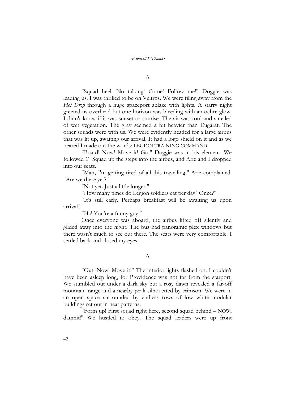#### Δ

"Squad heel! No talking! Come! Follow me!" Doggie was leading us. I was thrilled to be on Veltros. We were filing away from the *Hot Drop* through a huge spaceport ablaze with lights. A starry night greeted us overhead but one horizon was bleeding with an ochre glow. I didn't know if it was sunset or sunrise. The air was cool and smelled of wet vegetation. The grav seemed a bit heavier than Eugarat. The other squads were with us. We were evidently headed for a large airbus that was lit up, awaiting our arrival. It had a logo shield on it and as we neared I made out the words: LEGION TRAINING COMMAND.

"Board! Now! Move it! Go!" Doggie was in his element. We followed 1<sup>st</sup> Squad up the steps into the airbus, and Arie and I dropped into our seats.

"Man, I'm getting tired of all this travelling," Arie complained. "Are we there yet?"

"Not yet. Just a little longer."

"How many times do Legion soldiers eat per day? Once?"

"It's still early. Perhaps breakfast will be awaiting us upon arrival."

"Ha! You're a funny guy."

Once everyone was aboard, the airbus lifted off silently and glided away into the night. The bus had panoramic plex windows but there wasn't much to see out there. The seats were very comfortable. I settled back and closed my eyes.

#### Δ

"Out! Now! Move it!" The interior lights flashed on. I couldn't have been asleep long, for Providence was not far from the starport. We stumbled out under a dark sky but a rosy dawn revealed a far-off mountain range and a nearby peak silhouetted by crimson. We were in an open space surrounded by endless rows of low white modular buildings set out in neat patterns.

"Form up! First squad right here, second squad behind – NOW, damnit!" We hustled to obey. The squad leaders were up front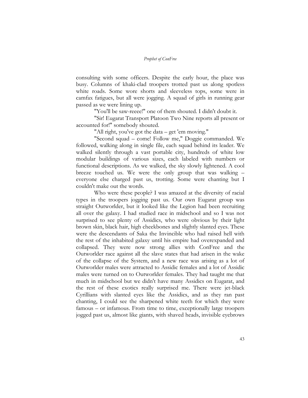consulting with some officers. Despite the early hour, the place was busy. Columns of khaki-clad troopers trotted past us along spotless white roads. Some wore shorts and sleeveless tops, some were in camfax fatigues, but all were jogging. A squad of girls in running gear passed as we were lining up.

"You'll be saw-reeee!" one of them shouted. I didn't doubt it.

"Sir! Eugarat Transport Platoon Two Nine reports all present or accounted for!" somebody shouted.

"All right, you've got the data – get 'em moving."

"Second squad – come! Follow me," Doggie commanded. We followed, walking along in single file, each squad behind its leader. We walked silently through a vast portable city, hundreds of white low modular buildings of various sizes, each labeled with numbers or functional descriptions. As we walked, the sky slowly lightened. A cool breeze touched us. We were the only group that was walking – everyone else charged past us, trotting. Some were chanting but I couldn't make out the words.

Who were these people? I was amazed at the diversity of racial types in the troopers jogging past us. Our own Eugarat group was straight Outworlder, but it looked like the Legion had been recruiting all over the galaxy. I had studied race in midschool and so I was not surprised to see plenty of Assidics, who were obvious by their light brown skin, black hair, high cheekbones and slightly slanted eyes. These were the descendants of Saka the Invincible who had raised hell with the rest of the inhabited galaxy until his empire had overexpanded and collapsed. They were now strong allies with ConFree and the Outworlder race against all the slave states that had arisen in the wake of the collapse of the System, and a new race was arising as a lot of Outworlder males were attracted to Assidic females and a lot of Assidic males were turned on to Outworlder females. They had taught me that much in midschool but we didn't have many Assidics on Eugarat, and the rest of these exotics really surprised me. There were jet-black Cyrillians with slanted eyes like the Assidics, and as they ran past chanting, I could see the sharpened white teeth for which they were famous – or infamous. From time to time, exceptionally large troopers jogged past us, almost like giants, with shaved heads, invisible eyebrows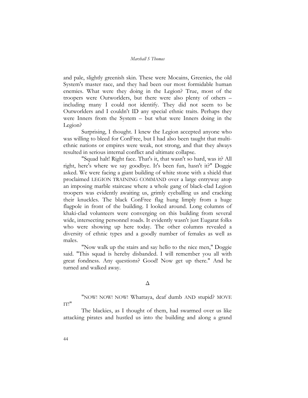and pale, slightly greenish skin. These were Mocains, Greenies, the old System's master race, and they had been our most formidable human enemies. What were they doing in the Legion? True, most of the troopers were Outworlders, but there were also plenty of others – including many I could not identify. They did not seem to be Outworlders and I couldn't ID any special ethnic traits. Perhaps they were Inners from the System – but what were Inners doing in the Legion?

Surprising, I thought. I knew the Legion accepted anyone who was willing to bleed for ConFree, but I had also been taught that multiethnic nations or empires were weak, not strong, and that they always resulted in serious internal conflict and ultimate collapse.

"Squad halt! Right face. That's it, that wasn't so hard, was it? All right, here's where we say goodbye. It's been fun, hasn't it?" Doggie asked. We were facing a giant building of white stone with a shield that proclaimed LEGION TRAINING COMMAND over a large entryway atop an imposing marble staircase where a whole gang of black-clad Legion troopers was evidently awaiting us, grimly eyeballing us and cracking their knuckles. The black ConFree flag hung limply from a huge flagpole in front of the building. I looked around. Long columns of khaki-clad volunteers were converging on this building from several wide, intersecting personnel roads. It evidently wasn't just Eugarat folks who were showing up here today. The other columns revealed a diversity of ethnic types and a goodly number of females as well as males.

"Now walk up the stairs and say hello to the nice men," Doggie said. "This squad is hereby disbanded. I will remember you all with great fondness. Any questions? Good! Now get up there." And he turned and walked away.

#### Δ

"NOW! NOW! NOW! Whattaya, deaf dumb AND stupid? MOVE

IT!"

The blackies, as I thought of them, had swarmed over us like attacking pirates and hustled us into the building and along a grand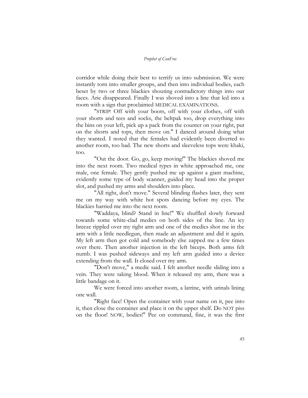corridor while doing their best to terrify us into submission. We were instantly torn into smaller groups, and then into individual bodies, each beset by two or three blackies shouting contradictory things into our faces. Arie disappeared. Finally I was shoved into a line that led into a room with a sign that proclaimed MEDICAL EXAMINATIONS.

"STRIP! Off with your boots, off with your clothes, off with your shorts and tees and socks, the beltpak too, drop everything into the bins on your left, pick up a pack from the counter on your right, put on the shorts and tops, then move on." I danced around doing what they wanted. I noted that the females had evidently been diverted to another room, too bad. The new shorts and sleeveless tops were khaki, too.

"Out the door. Go, go, keep moving!" The blackies shoved me into the next room. Two medical types in white approached me, one male, one female. They gently pushed me up against a giant machine, evidently some type of body scanner, guided my head into the proper slot, and pushed my arms and shoulders into place.

"All right, don't move." Several blinding flashes later, they sent me on my way with white hot spots dancing before my eyes. The blackies harried me into the next room.

"Waddaya, blind? Stand in line!" We shuffled slowly forward towards some white-clad medics on both sides of the line. An icy breeze rippled over my right arm and one of the medics shot me in the arm with a little needlegun, then made an adjustment and did it again. My left arm then got cold and somebody else zapped me a few times over there. Then another injection in the left biceps. Both arms felt numb. I was pushed sideways and my left arm guided into a device extending from the wall. It closed over my arm.

"Don't move," a medic said. I felt another needle sliding into a vein. They were taking blood. When it released my arm, there was a little bandage on it.

We were forced into another room, a latrine, with urinals lining one wall.

"Right face! Open the container with your name on it, pee into it, then close the container and place it on the upper shelf. Do NOT piss on the floor! NOW, bodies!" Pee on command, fine, it was the first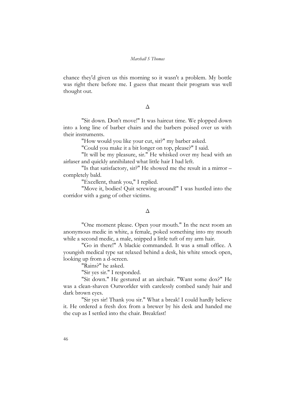chance they'd given us this morning so it wasn't a problem. My bottle was right there before me. I guess that meant their program was well thought out.

#### Δ

"Sit down. Don't move!" It was haircut time. We plopped down into a long line of barber chairs and the barbers poised over us with their instruments.

"How would you like your cut, sir?" my barber asked.

"Could you make it a bit longer on top, please?" I said.

"It will be my pleasure, sir." He whisked over my head with an airlaser and quickly annihilated what little hair I had left.

"Is that satisfactory, sir?" He showed me the result in a mirror – completely bald.

"Excellent, thank you," I replied.

"Move it, bodies! Quit screwing around!" I was hustled into the corridor with a gang of other victims.

#### Δ

"One moment please. Open your mouth." In the next room an anonymous medic in white, a female, poked something into my mouth while a second medic, a male, snipped a little tuft of my arm hair.

"Go in there!" A blackie commanded. It was a small office. A youngish medical type sat relaxed behind a desk, his white smock open, looking up from a d-screen.

"Rains?" he asked.

"Sir yes sir." I responded.

"Sit down." He gestured at an airchair. "Want some dox?" He was a clean-shaven Outworlder with carelessly combed sandy hair and dark brown eyes.

"Sir yes sir! Thank you sir." What a break! I could hardly believe it. He ordered a fresh dox from a brewer by his desk and handed me the cup as I settled into the chair. Breakfast!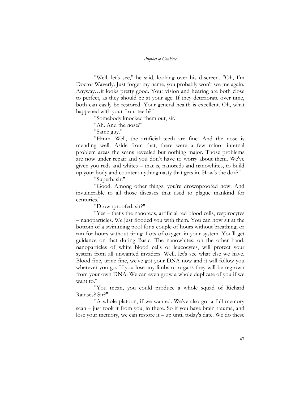"Well, let's see," he said, looking over his d-screen. "Oh, I'm Doctor Waverly. Just forget my name, you probably won't see me again. Anyway…it looks pretty good. Your vision and hearing are both close to perfect, as they should be at your age. If they deteriorate over time, both can easily be restored. Your general health is excellent. Oh, what happened with your front teeth?"

"Somebody knocked them out, sir."

"Ah. And the nose?"

"Same guy."

"Hmm. Well, the artificial teeth are fine. And the nose is mending well. Aside from that, there were a few minor internal problem areas the scans revealed but nothing major. Those problems are now under repair and you don't have to worry about them. We've given you reds and whites – that is, nanoreds and nanowhites, to build up your body and counter anything nasty that gets in. How's the dox?"

"Superb, sir."

"Good. Among other things, you're drownproofed now. And invulnerable to all those diseases that used to plague mankind for centuries."

"Drownproofed, sir?"

"Yes – that's the nanoreds, artificial red blood cells, respirocytes – nanoparticles. We just flooded you with them. You can now sit at the bottom of a swimming pool for a couple of hours without breathing, or run for hours without tiring. Lots of oxygen in your system. You'll get guidance on that during Basic. The nanowhites, on the other hand, nanoparticles of white blood cells or leucocytes, will protect your system from all unwanted invaders. Well, let's see what else we have. Blood fine, urine fine, we've got your DNA now and it will follow you wherever you go. If you lose any limbs or organs they will be regrown from your own DNA. We can even grow a whole duplicate of you if we want to."

"You mean, you could produce a whole squad of Richard Rainses? Sir?"

"A whole platoon, if we wanted. We've also got a full memory scan – just took it from you, in there. So if you have brain trauma, and lose your memory, we can restore it – up until today's date. We do these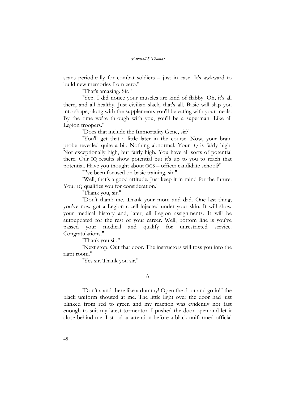scans periodically for combat soldiers – just in case. It's awkward to build new memories from zero."

"That's amazing. Sir."

"Yep. I did notice your muscles are kind of flabby. Oh, it's all there, and all healthy. Just civilian slack, that's all. Basic will slap you into shape, along with the supplements you'll be eating with your meals. By the time we're through with you, you'll be a superman. Like all Legion troopers."

"Does that include the Immortality Gene, sir?"

"You'll get that a little later in the course. Now, your brain probe revealed quite a bit. Nothing abnormal. Your IQ is fairly high. Not exceptionally high, but fairly high. You have all sorts of potential there. Our IQ results show potential but it's up to you to reach that potential. Have you thought about OCS – officer candidate school?"

"I've been focused on basic training, sir."

"Well, that's a good attitude. Just keep it in mind for the future. Your IQ qualifies you for consideration."

"Thank you, sir."

"Don't thank me. Thank your mom and dad. One last thing, you've now got a Legion c-cell injected under your skin. It will show your medical history and, later, all Legion assignments. It will be autoupdated for the rest of your career. Well, bottom line is you've passed your medical and qualify for unrestricted service. Congratulations."

"Thank you sir."

"Next stop. Out that door. The instructors will toss you into the right room."

"Yes sir. Thank you sir."

#### Δ

"Don't stand there like a dummy! Open the door and go in!" the black uniform shouted at me. The little light over the door had just blinked from red to green and my reaction was evidently not fast enough to suit my latest tormentor. I pushed the door open and let it close behind me. I stood at attention before a black-uniformed official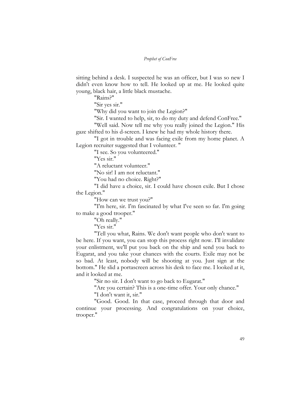sitting behind a desk. I suspected he was an officer, but I was so new I didn't even know how to tell. He looked up at me. He looked quite young, black hair, a little black mustache.

"Rains?"

"Sir yes sir."

"Why did you want to join the Legion?"

"Sir. I wanted to help, sir, to do my duty and defend ConFree."

"Well said. Now tell me why you really joined the Legion." His gaze shifted to his d-screen. I knew he had my whole history there.

"I got in trouble and was facing exile from my home planet. A Legion recruiter suggested that I volunteer. "

"I see. So you volunteered."

"Yes sir."

"A reluctant volunteer."

"No sir! I am not reluctant."

"You had no choice. Right?"

"I did have a choice, sir. I could have chosen exile. But I chose the Legion."

"How can we trust you?"

"I'm here, sir. I'm fascinated by what I've seen so far. I'm going to make a good trooper."

"Oh really."

"Yes sir."

"Tell you what, Rains. We don't want people who don't want to be here. If you want, you can stop this process right now. I'll invalidate your enlistment, we'll put you back on the ship and send you back to Eugarat, and you take your chances with the courts. Exile may not be so bad. At least, nobody will be shooting at you. Just sign at the bottom." He slid a portascreen across his desk to face me. I looked at it, and it looked at me.

"Sir no sir. I don't want to go back to Eugarat."

"Are you certain? This is a one-time offer. Your only chance." "I don't want it, sir."

"Good. Good. In that case, proceed through that door and continue your processing. And congratulations on your choice, trooper."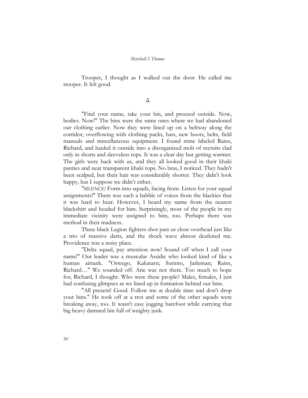Trooper, I thought as I walked out the door. He called me trooper. It felt good.

Δ

"Find your name, take your bin, and proceed outside. Now, bodies. Now!" The bins were the same ones where we had abandoned our clothing earlier. Now they were lined up on a beltway along the corridor, overflowing with clothing packs, hats, new boots, belts, field manuals and miscellaneous equipment. I found mine labeled Rains, Richard, and hauled it outside into a disorganized mob of recruits clad only in shorts and sleeveless tops. It was a clear day but getting warmer. The girls were back with us, and they all looked good in their khaki panties and near transparent khaki tops. No bras, I noticed. They hadn't been scalped, but their hair was considerably shorter. They didn't look happy, but I suppose we didn't either.

"SILENCE! Form into squads, facing front. Listen for your squad assignments!" There was such a babble of voices from the blackies that it was hard to hear. However, I heard my name from the nearest blackshirt and headed for him. Surprisingly, most of the people in my immediate vicinity were assigned to him, too. Perhaps there was method in their madness.

Three black Legion fighters shot past us close overhead just like a trio of massive darts, and the shock wave almost deafened me. Providence was a noisy place.

"Delta squad, pay attention now! Sound off when I call your name!" Our leader was a muscular Assidic who looked kind of like a human airtank. "Oswego, Kakatarn; Surinto, Jarleman; Rains, Richard…" We sounded off. Arie was not there. Too much to hope for, Richard, I thought. Who were these people? Males, females, I just had confusing glimpses as we lined up in formation behind our bins.

"All present! Good. Follow me at double time and don't drop your bins." He took off at a trot and some of the other squads were breaking away, too. It wasn't easy jogging barefoot while carrying that big heavy damned bin full of weighty junk.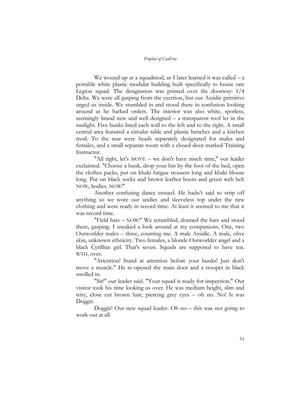We wound up at a squadmod, as I later learned it was called  $- a$ portable white plastic modular building built specifically to house one Legion squad. The designation was printed over the doorway: 1/4 Delta. We were all gasping from the exertion, but our Assidic primitive urged us inside. We stumbled in and stood there in confusion looking around as he barked orders. The interior was also white, spotless, seemingly brand new and well designed – a transparent roof let in the sunlight. Five bunks lined each wall to the left and to the right. A small central area featured a circular table and plastic benches and a kitchen mod. To the rear were heads separately designated for males and females, and a small separate room with a closed door marked Training Instructor.

"All right, let's MOVE – we don't have much time," our leader exclaimed. "Choose a bunk, drop your bin by the foot of the bed, open the clothes packs, put on khaki fatigue trousers long and khaki blouse long. Put on black socks and brown leather boots and green web belt NOW, bodies. NOW!"

Another confusing dance ensued. He hadn't said to strip off anything so we wore our undies and sleeveless top under the new clothing and were ready in record time. At least it seemed to me that it was record time.

"Field hats – NOW!" We scrambled, donned the hats and stood there, gasping. I sneaked a look around at my companions. One, two Outworlder males – three, counting me. A male Assidic. A male, olive skin, unknown ethnicity. Two females, a blonde Outworlder angel and a black Cyrillian girl. That's seven. Squads are supposed to have ten. WTH, over.

"Attention! Stand at attention before your bunks! Just don't move a muscle." He re-opened the main door and a trooper in black strolled in.

"Sir!" our leader said. "Your squad is ready for inspection." Our visitor took his time looking us over. He was medium height, slim and wiry, close cut brown hair, piercing grey eyes – oh no. No! It was Doggie.

Doggie! Our new squad leader. Oh no – this was not going to work out at all.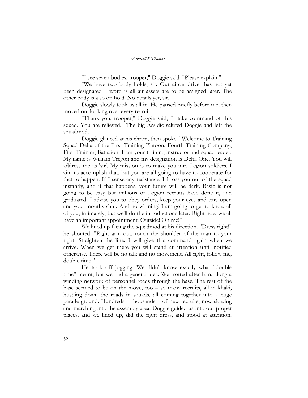"I see seven bodies, trooper," Doggie said. "Please explain."

"We have two body holds, sir. Our aircar driver has not yet been designated – word is all air assets are to be assigned later. The other body is also on hold. No details yet, sir."

Doggie slowly took us all in. He paused briefly before me, then moved on, looking over every recruit.

"Thank you, trooper," Doggie said, "I take command of this squad. You are relieved." The big Assidic saluted Doggie and left the squadmod.

Doggie glanced at his chron, then spoke. "Welcome to Training Squad Delta of the First Training Platoon, Fourth Training Company, First Training Battalion. I am your training instructor and squad leader. My name is William Tregon and my designation is Delta One. You will address me as 'sir'. My mission is to make you into Legion soldiers. I aim to accomplish that, but you are all going to have to cooperate for that to happen. If I sense any resistance, I'll toss you out of the squad instantly, and if that happens, your future will be dark. Basic is not going to be easy but millions of Legion recruits have done it, and graduated. I advise you to obey orders, keep your eyes and ears open and your mouths shut. And no whining! I am going to get to know all of you, intimately, but we'll do the introductions later. Right now we all have an important appointment. Outside! On me!"

We lined up facing the squadmod at his direction. "Dress right!" he shouted. "Right arm out, touch the shoulder of the man to your right. Straighten the line. I will give this command again when we arrive. When we get there you will stand at attention until notified otherwise. There will be no talk and no movement. All right, follow me, double time."

He took off jogging. We didn't know exactly what "double time" meant, but we had a general idea. We trotted after him, along a winding network of personnel roads through the base. The rest of the base seemed to be on the move, too – so many recruits, all in khaki, hustling down the roads in squads, all coming together into a huge parade ground. Hundreds – thousands – of new recruits, now slowing and marching into the assembly area. Doggie guided us into our proper places, and we lined up, did the right dress, and stood at attention.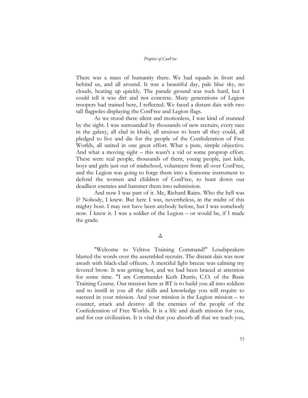There was a mass of humanity there. We had squads in front and behind us, and all around. It was a beautiful day, pale blue sky, no clouds, heating up quickly. The parade ground was rock hard, but I could tell it was dirt and not concrete. Many generations of Legion troopers had trained here, I reflected. We faced a distant dais with two tall flagpoles displaying the ConFree and Legion flags.

As we stood there silent and motionless, I was kind of stunned by the sight. I was surrounded by thousands of new recruits, every race in the galaxy, all clad in khaki, all anxious to learn all they could, all pledged to live and die for the people of the Confederation of Free Worlds, all united in one great effort. What a pure, simple objective. And what a moving sight – this wasn't a vid or some proprop effort. These were real people, thousands of them, young people, just kids, boys and girls just out of midschool, volunteers from all over ConFree, and the Legion was going to forge them into a fearsome instrument to defend the women and children of ConFree, to hunt down our deadliest enemies and hammer them into submission.

And now I was part of it. Me, Richard Rains. Who the hell was I? Nobody, I knew. But here I was, nevertheless, in the midst of this mighty host. I may not have been anybody before, but I was somebody now. I knew it. I was a soldier of the Legion – or would be, if I made the grade.

#### Δ

"Welcome to Veltros Training Command!" Loudspeakers blasted the words over the assembled recruits. The distant dais was now awash with black-clad officers. A merciful light breeze was calming my fevered brow. It was getting hot, and we had been braced at attention for some time. "I am Commander Keth Durris, C.O. of the Basic Training Course. Our mission here at BT is to build you all into soldiers and to instill in you all the skills and knowledge you will require to succeed in your mission. And your mission is the Legion mission – to counter, attack and destroy all the enemies of the people of the Confederation of Free Worlds. It is a life and death mission for you, and for our civilization. It is vital that you absorb all that we teach you,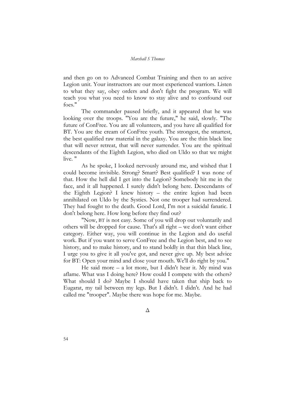and then go on to Advanced Combat Training and then to an active Legion unit. Your instructors are our most experienced warriors. Listen to what they say, obey orders and don't fight the program. We will teach you what you need to know to stay alive and to confound our foes."

The commander paused briefly, and it appeared that he was looking over the troops. "You are the future," he said, slowly. "The future of ConFree. You are all volunteers, and you have all qualified for BT. You are the cream of ConFree youth. The strongest, the smartest, the best qualified raw material in the galaxy. You are the thin black line that will never retreat, that will never surrender. You are the spiritual descendants of the Eighth Legion, who died on Uldo so that we might live. "

As he spoke, I looked nervously around me, and wished that I could become invisible. Strong? Smart? Best qualified? I was none of that. How the hell did I get into the Legion? Somebody hit me in the face, and it all happened. I surely didn't belong here. Descendants of the Eighth Legion? I knew history – the entire legion had been annihilated on Uldo by the Systies. Not one trooper had surrendered. They had fought to the death. Good Lord, I'm not a suicidal fanatic. I don't belong here. How long before they find out?

"Now, BT is not easy. Some of you will drop out voluntarily and others will be dropped for cause. That's all right – we don't want either category. Either way, you will continue in the Legion and do useful work. But if you want to serve ConFree and the Legion best, and to see history, and to make history, and to stand boldly in that thin black line, I urge you to give it all you've got, and never give up. My best advice for BT: Open your mind and close your mouth. We'll do right by you."

He said more – a lot more, but I didn't hear it. My mind was aflame. What was I doing here? How could I compete with the others? What should I do? Maybe I should have taken that ship back to Eugarat, my tail between my legs. But I didn't. I didn't. And he had called me "trooper". Maybe there was hope for me. Maybe.

Δ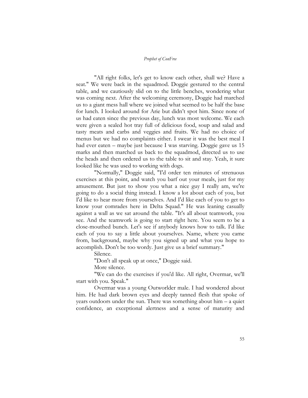"All right folks, let's get to know each other, shall we? Have a seat." We were back in the squadmod. Doggie gestured to the central table, and we cautiously slid on to the little benches, wondering what was coming next. After the welcoming ceremony, Doggie had marched us to a giant mess hall where we joined what seemed to be half the base for lunch. I looked around for Arie but didn't spot him. Since none of us had eaten since the previous day, lunch was most welcome. We each were given a sealed hot tray full of delicious food, soup and salad and tasty meats and carbs and veggies and fruits. We had no choice of menus but we had no complaints either. I swear it was the best meal I had ever eaten – maybe just because I was starving. Doggie gave us 15 marks and then marched us back to the squadmod, directed us to use the heads and then ordered us to the table to sit and stay. Yeah, it sure looked like he was used to working with dogs.

"Normally," Doggie said, "I'd order ten minutes of strenuous exercises at this point, and watch you barf out your meals, just for my amusement. But just to show you what a nice guy I really am, we're going to do a social thing instead. I know a lot about each of you, but I'd like to hear more from yourselves. And I'd like each of you to get to know your comrades here in Delta Squad." He was leaning casually against a wall as we sat around the table. "It's all about teamwork, you see. And the teamwork is going to start right here. You seem to be a close-mouthed bunch. Let's see if anybody knows how to talk. I'd like each of you to say a little about yourselves. Name, where you came from, background, maybe why you signed up and what you hope to accomplish. Don't be too wordy. Just give us a brief summary."

Silence.

"Don't all speak up at once," Doggie said.

More silence.

"We can do the exercises if you'd like. All right, Overmar, we'll start with you. Speak."

Overmar was a young Outworlder male. I had wondered about him. He had dark brown eyes and deeply tanned flesh that spoke of years outdoors under the sun. There was something about him – a quiet confidence, an exceptional alertness and a sense of maturity and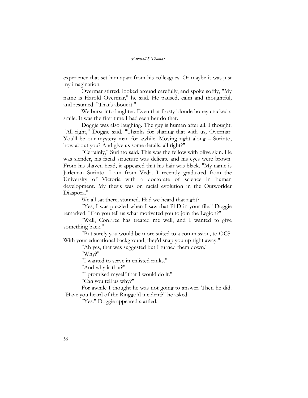experience that set him apart from his colleagues. Or maybe it was just my imagination.

Overmar stirred, looked around carefully, and spoke softly, "My name is Harold Overmar," he said. He paused, calm and thoughtful, and resumed. "That's about it."

We burst into laughter. Even that frosty blonde honey cracked a smile. It was the first time I had seen her do that.

Doggie was also laughing. The guy is human after all, I thought. "All right," Doggie said. "Thanks for sharing that with us, Overmar. You'll be our mystery man for awhile. Moving right along – Surinto, how about you? And give us some details, all right?"

"Certainly," Surinto said. This was the fellow with olive skin. He was slender, his facial structure was delicate and his eyes were brown. From his shaven head, it appeared that his hair was black. "My name is Jarleman Surinto. I am from Veda. I recently graduated from the University of Victoria with a doctorate of science in human development. My thesis was on racial evolution in the Outworlder Diaspora."

We all sat there, stunned. Had we heard that right?

"Yes, I was puzzled when I saw that PhD in your file," Doggie remarked. "Can you tell us what motivated you to join the Legion?"

"Well, ConFree has treated me well, and I wanted to give something back."

"But surely you would be more suited to a commission, to OCS. With your educational background, they'd snap you up right away."

"Ah yes, that was suggested but I turned them down."

"Why?"

"I wanted to serve in enlisted ranks."

"And why is that?"

"I promised myself that I would do it."

"Can you tell us why?"

For awhile I thought he was not going to answer. Then he did. "Have you heard of the Ringgold incident?" he asked.

"Yes." Doggie appeared startled.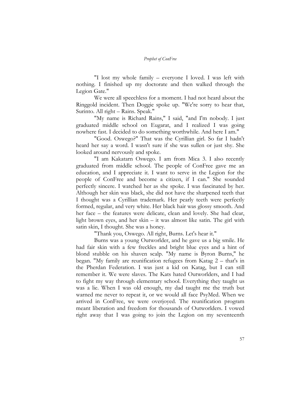"I lost my whole family – everyone I loved. I was left with nothing. I finished up my doctorate and then walked through the Legion Gate."

We were all speechless for a moment. I had not heard about the Ringgold incident. Then Doggie spoke up. "We're sorry to hear that, Surinto. All right – Rains. Speak."

"My name is Richard Rains," I said, "and I'm nobody. I just graduated middle school on Eugarat, and I realized I was going nowhere fast. I decided to do something worthwhile. And here I am."

"Good. Oswego?" That was the Cyrillian girl. So far I hadn't heard her say a word. I wasn't sure if she was sullen or just shy. She looked around nervously and spoke.

"I am Kakatarn Oswego. I am from Mica 3. I also recently graduated from middle school. The people of ConFree gave me an education, and I appreciate it. I want to serve in the Legion for the people of ConFree and become a citizen, if I can." She sounded perfectly sincere. I watched her as she spoke. I was fascinated by her. Although her skin was black, she did not have the sharpened teeth that I thought was a Cyrillian trademark. Her pearly teeth were perfectly formed, regular, and very white. Her black hair was glossy smooth. And her face – the features were delicate, clean and lovely. She had clear, light brown eyes, and her skin – it was almost like satin. The girl with satin skin, I thought. She was a honey.

"Thank you, Oswego. All right, Burns. Let's hear it."

Burns was a young Outworlder, and he gave us a big smile. He had fair skin with a few freckles and bright blue eyes and a hint of blond stubble on his shaven scalp. "My name is Byron Burns," he began. "My family are reunification refugees from Katag 2 – that's in the Pherdan Federation. I was just a kid on Katag, but I can still remember it. We were slaves. The Kats hated Outworlders, and I had to fight my way through elementary school. Everything they taught us was a lie. When I was old enough, my dad taught me the truth but warned me never to repeat it, or we would all face PsyMed. When we arrived in ConFree, we were overjoyed. The reunification program meant liberation and freedom for thousands of Outworlders. I vowed right away that I was going to join the Legion on my seventeenth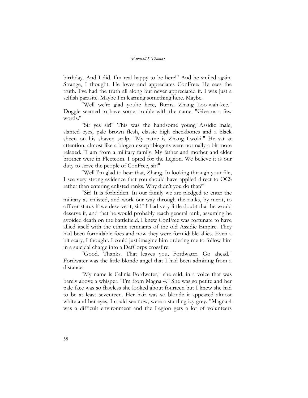birthday. And I did. I'm real happy to be here!" And he smiled again. Strange, I thought. He loves and appreciates ConFree. He sees the truth. I've had the truth all along but never appreciated it. I was just a selfish parasite. Maybe I'm learning something here. Maybe.

"Well we're glad you're here, Burns. Zhang Loo-wah-kee." Doggie seemed to have some trouble with the name. "Give us a few words."

"Sir yes sir!" This was the handsome young Assidic male, slanted eyes, pale brown flesh, classic high cheekbones and a black sheen on his shaven scalp. "My name is Zhang Lwoki." He sat at attention, almost like a biogen except biogens were normally a bit more relaxed. "I am from a military family. My father and mother and elder brother were in Fleetcom. I opted for the Legion. We believe it is our duty to serve the people of ConFree, sir!"

"Well I'm glad to hear that, Zhang. In looking through your file, I see very strong evidence that you should have applied direct to OCS rather than entering enlisted ranks. Why didn't you do that?"

"Sir! It is forbidden. In our family we are pledged to enter the military as enlisted, and work our way through the ranks, by merit, to officer status if we deserve it, sir!" I had very little doubt that he would deserve it, and that he would probably reach general rank, assuming he avoided death on the battlefield. I knew ConFree was fortunate to have allied itself with the ethnic remnants of the old Assidic Empire. They had been formidable foes and now they were formidable allies. Even a bit scary, I thought. I could just imagine him ordering me to follow him in a suicidal charge into a DefCorps crossfire.

"Good. Thanks. That leaves you, Fordwater. Go ahead." Fordwater was the little blonde angel that I had been admiring from a distance.

"My name is Celinia Fordwater," she said, in a voice that was barely above a whisper. "I'm from Magna 4." She was so petite and her pale face was so flawless she looked about fourteen but I knew she had to be at least seventeen. Her hair was so blonde it appeared almost white and her eyes, I could see now, were a startling icy grey. "Magna 4 was a difficult environment and the Legion gets a lot of volunteers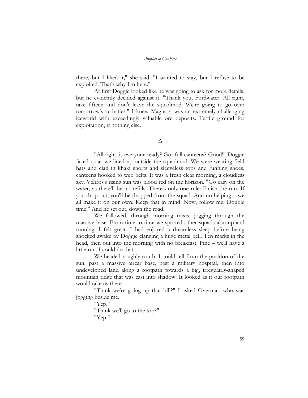there, but I liked it," she said. "I wanted to stay, but I refuse to be exploited. That's why I'm here."

At first Doggie looked like he was going to ask for more details, but he evidently decided against it. "Thank you, Fordwater. All right, take fifteen and don't leave the squadmod. We're going to go over tomorrow's activities." I knew Magna 4 was an extremely challenging iceworld with exceedingly valuable ore deposits. Fertile ground for exploitation, if nothing else.

"All right, is everyone ready? Got full canteens? Good!" Doggie faced us as we lined up outside the squadmod. We were wearing field hats and clad in khaki shorts and sleeveless tops and running shoes, canteens hooked to web belts. It was a fresh clear morning, a cloudless sky. Veltros's rising sun was blood red on the horizon. "Go easy on the water, as there'll be no refills. There's only one rule: Finish the run. If you drop out, you'll be dropped from the squad. And no helping – we all make it on our own. Keep that in mind. Now, follow me. Double time!" And he set out, down the road.

We followed, through morning mists, jogging through the massive base. From time to time we spotted other squads also up and running. I felt great. I had enjoyed a dreamless sleep before being shocked awake by Doggie clanging a huge metal bell. Ten marks in the head, then out into the morning with no breakfast. Fine – we'll have a little run. I could do that.

We headed roughly south, I could tell from the position of the sun, past a massive aircar base, past a military hospital, then into undeveloped land along a footpath towards a big, irregularly-shaped mountain ridge that was cast into shadow. It looked as if our footpath would take us there.

"Think we're going up that hill?" I asked Overmar, who was jogging beside me.

"Yep."

"Think we'll go to the top?" "Yep."

Δ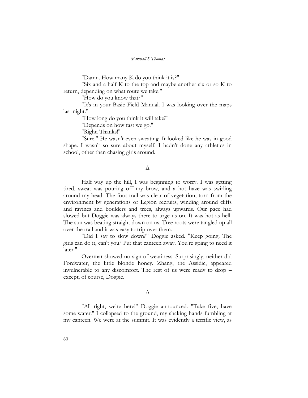"Damn. How many K do you think it is?"

"Six and a half K to the top and maybe another six or so K to return, depending on what route we take."

"How do you know that?"

"It's in your Basic Field Manual. I was looking over the maps last night."

"How long do you think it will take?"

"Depends on how fast we go."

"Right. Thanks!"

"Sure." He wasn't even sweating. It looked like he was in good shape. I wasn't so sure about myself. I hadn't done any athletics in school, other than chasing girls around.

#### Δ

Half way up the hill, I was beginning to worry. I was getting tired, sweat was pouring off my brow, and a hot haze was swirling around my head. The foot trail was clear of vegetation, torn from the environment by generations of Legion recruits, winding around cliffs and ravines and boulders and trees, always upwards. Our pace had slowed but Doggie was always there to urge us on. It was hot as hell. The sun was beating straight down on us. Tree roots were tangled up all over the trail and it was easy to trip over them.

"Did I say to slow down?" Doggie asked. "Keep going. The girls can do it, can't you? Put that canteen away. You're going to need it later."

Overmar showed no sign of weariness. Surprisingly, neither did Fordwater, the little blonde honey. Zhang, the Assidic, appeared invulnerable to any discomfort. The rest of us were ready to drop – except, of course, Doggie.

#### Δ

"All right, we're here!" Doggie announced. "Take five, have some water." I collapsed to the ground, my shaking hands fumbling at my canteen. We were at the summit. It was evidently a terrific view, as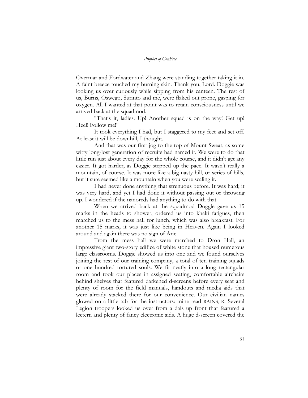Overmar and Fordwater and Zhang were standing together taking it in. A faint breeze touched my burning skin. Thank you, Lord. Doggie was looking us over curiously while sipping from his canteen. The rest of us, Burns, Oswego, Surinto and me, were flaked out prone, gasping for oxygen. All I wanted at that point was to retain consciousness until we arrived back at the squadmod.

"That's it, ladies. Up! Another squad is on the way! Get up! Heel! Follow me!"

It took everything I had, but I staggered to my feet and set off. At least it will be downhill, I thought.

And that was our first jog to the top of Mount Sweat, as some witty long-lost generation of recruits had named it. We were to do that little run just about every day for the whole course, and it didn't get any easier. It got harder, as Doggie stepped up the pace. It wasn't really a mountain, of course. It was more like a big nasty hill, or series of hills, but it sure seemed like a mountain when you were scaling it.

I had never done anything that strenuous before. It was hard; it was very hard, and yet I had done it without passing out or throwing up. I wondered if the nanoreds had anything to do with that.

When we arrived back at the squadmod Doggie gave us 15 marks in the heads to shower, ordered us into khaki fatigues, then marched us to the mess hall for lunch, which was also breakfast. For another 15 marks, it was just like being in Heaven. Again I looked around and again there was no sign of Arie.

From the mess hall we were marched to Dron Hall, an impressive giant two-story edifice of white stone that housed numerous large classrooms. Doggie showed us into one and we found ourselves joining the rest of our training company, a total of ten training squads or one hundred tortured souls. We fit neatly into a long rectangular room and took our places in assigned seating, comfortable airchairs behind shelves that featured darkened d-screens before every seat and plenty of room for the field manuals, handouts and media aids that were already stacked there for our convenience. Our civilian names glowed on a little tab for the instructors: mine read RAINS, R. Several Legion troopers looked us over from a dais up front that featured a lectern and plenty of fancy electronic aids. A huge d-screen covered the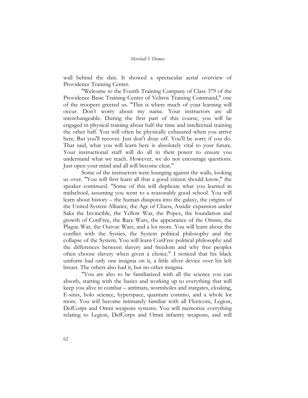wall behind the dais. It showed a spectacular aerial overview of Providence Training Center.

"Welcome to the Fourth Training Company of Class 379 of the Providence Basic Training Center of Veltros Training Command," one of the troopers greeted us. "This is where much of your learning will occur. Don't worry about my name. Your instructors are all interchangeable. During the first part of this course, you will be engaged in physical training about half the time and intellectual training the other half. You will often be physically exhausted when you arrive here. But you'll recover. Just don't doze off. You'll be sorry if you do. That said, what you will learn here is absolutely vital to your future. Your instructional staff will do all in their power to ensure you understand what we teach. However, we do not encourage questions. Just open your mind and all will become clear."

Some of the instructors were lounging against the walls, looking us over. "You will first learn all that a good citizen should know," the speaker continued. "Some of this will duplicate what you learned in midschool, assuming you went to a reasonably good school. You will learn about history – the human diaspora into the galaxy, the origins of the United System Alliance, the Age of Chaos, Assidic expansion under Saka the Invincible, the Yellow War, the Popex, the foundation and growth of ConFree, the Race Wars, the appearance of the Omnis, the Plague War, the Outvac Wars, and a lot more. You will learn about the conflict with the Systies, the System political philosophy and the collapse of the System. You will learn ConFree political philosophy and the differences between slavery and freedom and why free peoples often choose slavery when given a choice." I noticed that his black uniform had only one insignia on it, a little silver device over his left breast. The others also had it, but no other insignia.

"You are also to be familiarized with all the science you can absorb, starting with the basics and working up to everything that will keep you alive in combat – antimats, wormholes and stargates, cloaking, E-sims, holo science, hyperspace, quantum commo, and a whole lot more. You will become intimately familiar with all Fleetcom, Legion, DefCorps and Omni weapons systems. You will memorize everything relating to Legion, DefCorps and Omni infantry weapons, and will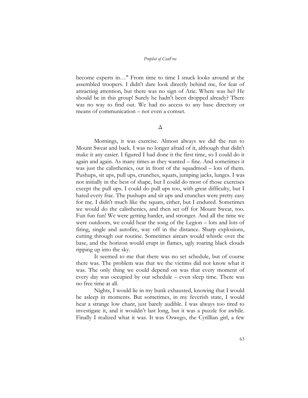become experts in…" From time to time I snuck looks around at the assembled troopers. I didn't dare look directly behind me, for fear of attracting attention, but there was no sign of Arie. Where was he? He should be in this group! Surely he hadn't been dropped already? There was no way to find out. We had no access to any base directory or means of communication – not even a comset.

Δ

Mornings, it was exercise. Almost always we did the run to Mount Sweat and back. I was no longer afraid of it, although that didn't make it any easier. I figured I had done it the first time, so I could do it again and again. As many times as they wanted – fine. And sometimes it was just the calisthenics, out in front of the squadmod – lots of them. Pushups, sit ups, pull ups, crunches, squats, jumping jacks, lunges. I was not initially in the best of shape, but I could do most of those exercises except the pull ups. I could do pull ups too, with great difficulty, but I hated every frac. The pushups and sit ups and crunches were pretty easy for me. I didn't much like the squats, either, but I endured. Sometimes we would do the calisthenics, and then set off for Mount Sweat, too. Fun fun fun! We were getting harder, and stronger. And all the time we were outdoors, we could hear the song of the Legion – lots and lots of firing, single and autofire, way off in the distance. Sharp explosions, cutting through our routine. Sometimes aircars would whistle over the base, and the horizon would erupt in flames, ugly roaring black clouds ripping up into the sky.

It seemed to me that there was no set schedule, but of course there was. The problem was that we the victims did not know what it was. The only thing we could depend on was that every moment of every day was occupied by our schedule – even sleep time. There was no free time at all.

Nights, I would lie in my bunk exhausted, knowing that I would be asleep in moments. But sometimes, in my feverish state, I would hear a strange low chant, just barely audible. I was always too tired to investigate it, and it wouldn't last long, but it was a puzzle for awhile. Finally I realized what it was. It was Oswego, the Cyrillian girl, a few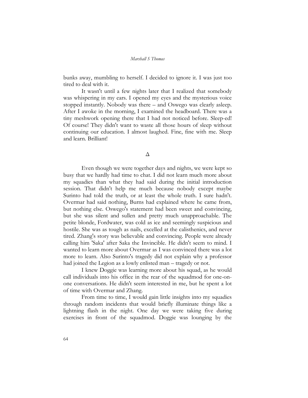bunks away, mumbling to herself. I decided to ignore it. I was just too tired to deal with it.

It wasn't until a few nights later that I realized that somebody was whispering in my ears. I opened my eyes and the mysterious voice stopped instantly. Nobody was there – and Oswego was clearly asleep. After I awoke in the morning, I examined the headboard. There was a tiny meshwork opening there that I had not noticed before. Sleep-ed! Of course! They didn't want to waste all those hours of sleep without continuing our education. I almost laughed. Fine, fine with me. Sleep and learn. Brilliant!

Δ

Even though we were together days and nights, we were kept so busy that we hardly had time to chat. I did not learn much more about my squadies than what they had said during the initial introduction session. That didn't help me much because nobody except maybe Surinto had told the truth, or at least the whole truth. I sure hadn't. Overmar had said nothing, Burns had explained where he came from, but nothing else. Oswego's statement had been sweet and convincing, but she was silent and sullen and pretty much unapproachable. The petite blonde, Fordwater, was cold as ice and seemingly suspicious and hostile. She was as tough as nails, excelled at the calisthenics, and never tired. Zhang's story was believable and convincing. People were already calling him 'Saka' after Saka the Invincible. He didn't seem to mind. I wanted to learn more about Overmar as I was convinced there was a lot more to learn. Also Surinto's tragedy did not explain why a professor had joined the Legion as a lowly enlisted man – tragedy or not.

I knew Doggie was learning more about his squad, as he would call individuals into his office in the rear of the squadmod for one-onone conversations. He didn't seem interested in me, but he spent a lot of time with Overmar and Zhang.

From time to time, I would gain little insights into my squadies through random incidents that would briefly illuminate things like a lightning flash in the night. One day we were taking five during exercises in front of the squadmod. Doggie was lounging by the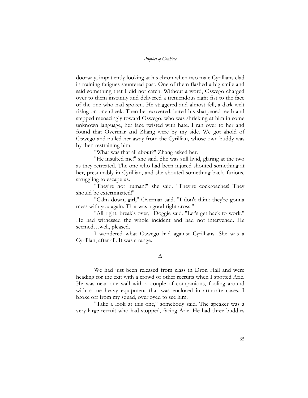doorway, impatiently looking at his chron when two male Cyrillians clad in training fatigues sauntered past. One of them flashed a big smile and said something that I did not catch. Without a word, Oswego charged over to them instantly and delivered a tremendous right fist to the face of the one who had spoken. He staggered and almost fell, a dark welt rising on one cheek. Then he recovered, bared his sharpened teeth and stepped menacingly toward Oswego, who was shrieking at him in some unknown language, her face twisted with hate. I ran over to her and found that Overmar and Zhang were by my side. We got ahold of Oswego and pulled her away from the Cyrillian, whose own buddy was by then restraining him.

"What was that all about?" Zhang asked her.

"He insulted me!" she said. She was still livid, glaring at the two as they retreated. The one who had been injured shouted something at her, presumably in Cyrillian, and she shouted something back, furious, struggling to escape us.

"They're not human!" she said. "They're cockroaches! They should be exterminated!"

"Calm down, girl," Overmar said. "I don't think they're gonna mess with you again. That was a good right cross."

"All right, break's over," Doggie said. "Let's get back to work." He had witnessed the whole incident and had not intervened. He seemed…well, pleased.

I wondered what Oswego had against Cyrillians. She was a Cyrillian, after all. It was strange.

#### Δ

We had just been released from class in Dron Hall and were heading for the exit with a crowd of other recruits when I spotted Arie. He was near one wall with a couple of companions, fooling around with some heavy equipment that was enclosed in armorite cases. I broke off from my squad, overjoyed to see him.

"Take a look at this one," somebody said. The speaker was a very large recruit who had stopped, facing Arie. He had three buddies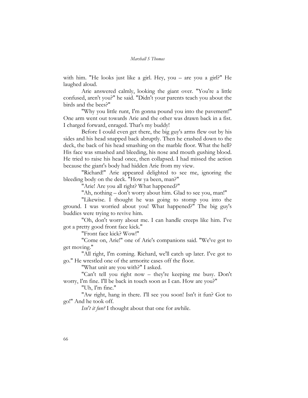with him. "He looks just like a girl. Hey, you – are you a girl?" He laughed aloud.

Arie answered calmly, looking the giant over. "You're a little confused, aren't you?" he said. "Didn't your parents teach you about the birds and the bees?"

"Why you little runt, I'm gonna pound you into the pavement!" One arm went out towards Arie and the other was drawn back in a fist. I charged forward, enraged. That's my buddy!

Before I could even get there, the big guy's arms flew out by his sides and his head snapped back abruptly. Then he crashed down to the deck, the back of his head smashing on the marble floor. What the hell? His face was smashed and bleeding, his nose and mouth gushing blood. He tried to raise his head once, then collapsed. I had missed the action because the giant's body had hidden Arie from my view.

"Richard!" Arie appeared delighted to see me, ignoring the bleeding body on the deck. "How ya been, man?"

"Arie! Are you all right? What happened?"

"Ah, nothing – don't worry about him. Glad to see you, man!"

"Likewise. I thought he was going to stomp you into the ground. I was worried about you! What happened?" The big guy's buddies were trying to revive him.

"Oh, don't worry about me. I can handle creeps like him. I've got a pretty good front face kick."

"Front face kick? Wow!"

"Come on, Arie!" one of Arie's companions said. "We've got to get moving."

"All right, I'm coming. Richard, we'll catch up later. I've got to go." He wrestled one of the armorite cases off the floor.

"What unit are you with?" I asked.

"Can't tell you right now – they're keeping me busy. Don't worry, I'm fine. I'll be back in touch soon as I can. How are you?"

"Uh, I'm fine."

"Aw right, hang in there. I'll see you soon! Isn't it fun? Got to go!" And he took off.

*Isn't it fun?* I thought about that one for awhile.